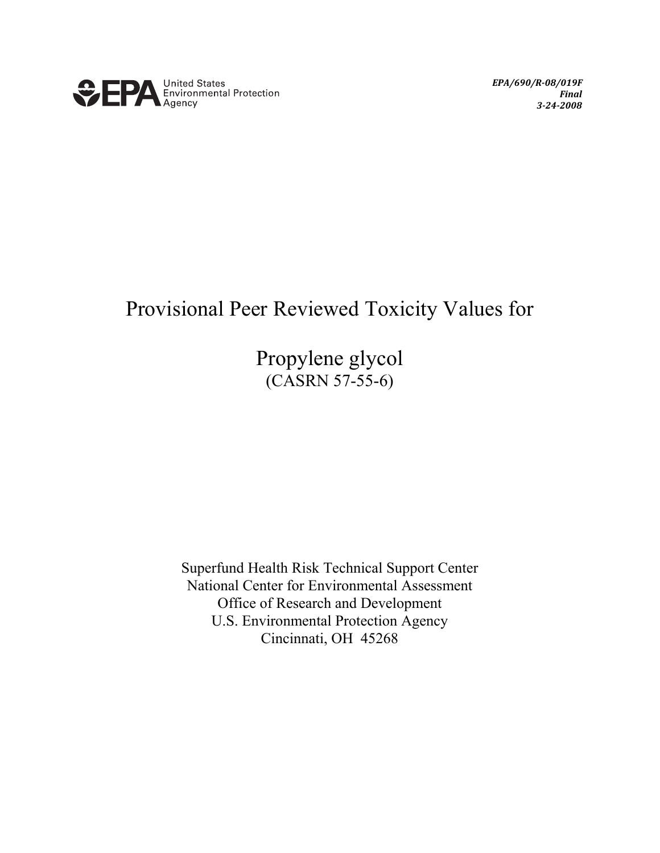

*EPA/690/R-08/019F Final 3-24-2008*

# Provisional Peer Reviewed Toxicity Values for

Propylene glycol (CASRN 57-55-6)

Superfund Health Risk Technical Support Center National Center for Environmental Assessment Office of Research and Development U.S. Environmental Protection Agency Cincinnati, OH 45268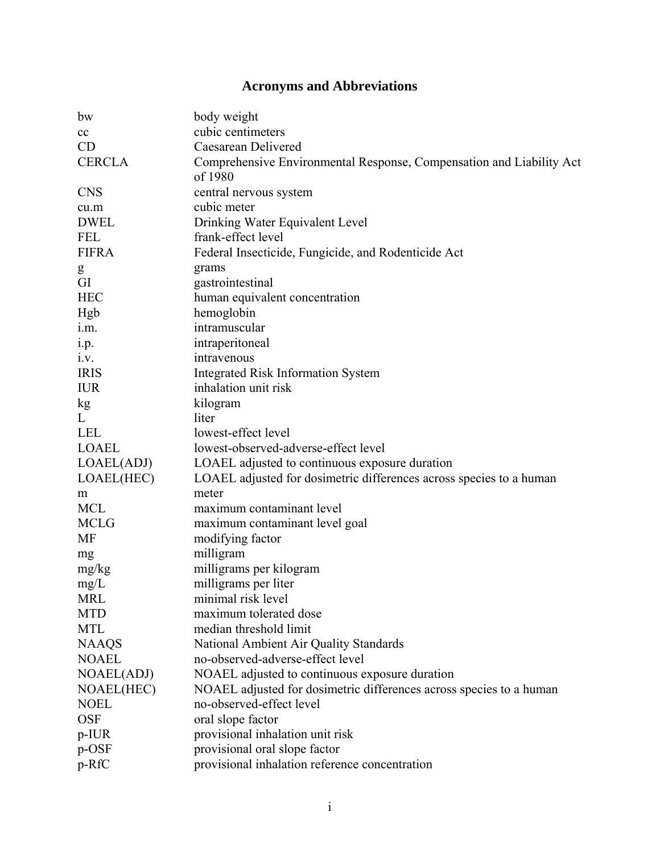## **Acronyms and Abbreviations**

| bw            | body weight                                                          |  |  |
|---------------|----------------------------------------------------------------------|--|--|
| cc            | cubic centimeters                                                    |  |  |
| CD            | Caesarean Delivered                                                  |  |  |
| <b>CERCLA</b> | Comprehensive Environmental Response, Compensation and Liability Act |  |  |
|               | of 1980                                                              |  |  |
| <b>CNS</b>    | central nervous system                                               |  |  |
| cu.m          | cubic meter                                                          |  |  |
| <b>DWEL</b>   | Drinking Water Equivalent Level                                      |  |  |
| <b>FEL</b>    | frank-effect level                                                   |  |  |
| <b>FIFRA</b>  | Federal Insecticide, Fungicide, and Rodenticide Act                  |  |  |
| g             | grams                                                                |  |  |
| GI            | gastrointestinal                                                     |  |  |
| <b>HEC</b>    | human equivalent concentration                                       |  |  |
| Hgb           | hemoglobin                                                           |  |  |
| i.m.          | intramuscular                                                        |  |  |
| 1.p.          | intraperitoneal                                                      |  |  |
| i.v.          | intravenous                                                          |  |  |
| <b>IRIS</b>   | <b>Integrated Risk Information System</b>                            |  |  |
| <b>IUR</b>    | inhalation unit risk                                                 |  |  |
| kg            | kilogram                                                             |  |  |
| L             | liter                                                                |  |  |
| <b>LEL</b>    | lowest-effect level                                                  |  |  |
| <b>LOAEL</b>  | lowest-observed-adverse-effect level                                 |  |  |
| LOAEL(ADJ)    | LOAEL adjusted to continuous exposure duration                       |  |  |
| LOAEL(HEC)    | LOAEL adjusted for dosimetric differences across species to a human  |  |  |
| m             | meter                                                                |  |  |
| <b>MCL</b>    | maximum contaminant level                                            |  |  |
| <b>MCLG</b>   | maximum contaminant level goal                                       |  |  |
| <b>MF</b>     | modifying factor                                                     |  |  |
| mg            | milligram                                                            |  |  |
| mg/kg         | milligrams per kilogram                                              |  |  |
| mg/L          | milligrams per liter                                                 |  |  |
| <b>MRL</b>    | minimal risk level                                                   |  |  |
| <b>MTD</b>    | maximum tolerated dose                                               |  |  |
| <b>MTL</b>    | median threshold limit                                               |  |  |
| <b>NAAQS</b>  | National Ambient Air Quality Standards                               |  |  |
| <b>NOAEL</b>  | no-observed-adverse-effect level                                     |  |  |
| NOAEL(ADJ)    | NOAEL adjusted to continuous exposure duration                       |  |  |
| NOAEL(HEC)    | NOAEL adjusted for dosimetric differences across species to a human  |  |  |
| <b>NOEL</b>   | no-observed-effect level                                             |  |  |
| <b>OSF</b>    | oral slope factor                                                    |  |  |
| $p$ -IUR      | provisional inhalation unit risk                                     |  |  |
| p-OSF         | provisional oral slope factor                                        |  |  |
| p-RfC         | provisional inhalation reference concentration                       |  |  |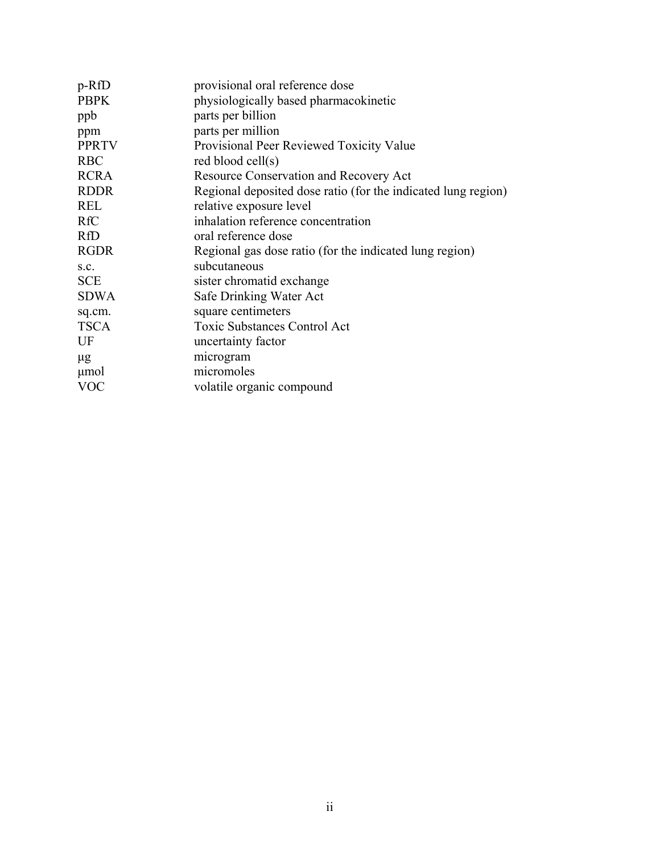| p-RfD        | provisional oral reference dose                               |
|--------------|---------------------------------------------------------------|
| <b>PBPK</b>  | physiologically based pharmacokinetic                         |
| ppb          | parts per billion                                             |
| ppm          | parts per million                                             |
| <b>PPRTV</b> | Provisional Peer Reviewed Toxicity Value                      |
| <b>RBC</b>   | red blood cell(s)                                             |
| <b>RCRA</b>  | Resource Conservation and Recovery Act                        |
| <b>RDDR</b>  | Regional deposited dose ratio (for the indicated lung region) |
| <b>REL</b>   | relative exposure level                                       |
| <b>RfC</b>   | inhalation reference concentration                            |
| <b>RfD</b>   | oral reference dose                                           |
| <b>RGDR</b>  | Regional gas dose ratio (for the indicated lung region)       |
| S.C.         | subcutaneous                                                  |
| <b>SCE</b>   | sister chromatid exchange                                     |
| <b>SDWA</b>  | Safe Drinking Water Act                                       |
| sq.cm.       | square centimeters                                            |
| <b>TSCA</b>  | <b>Toxic Substances Control Act</b>                           |
| UF           | uncertainty factor                                            |
| $\mu$ g      | microgram                                                     |
| μmol         | micromoles                                                    |
| VOC          | volatile organic compound                                     |
|              |                                                               |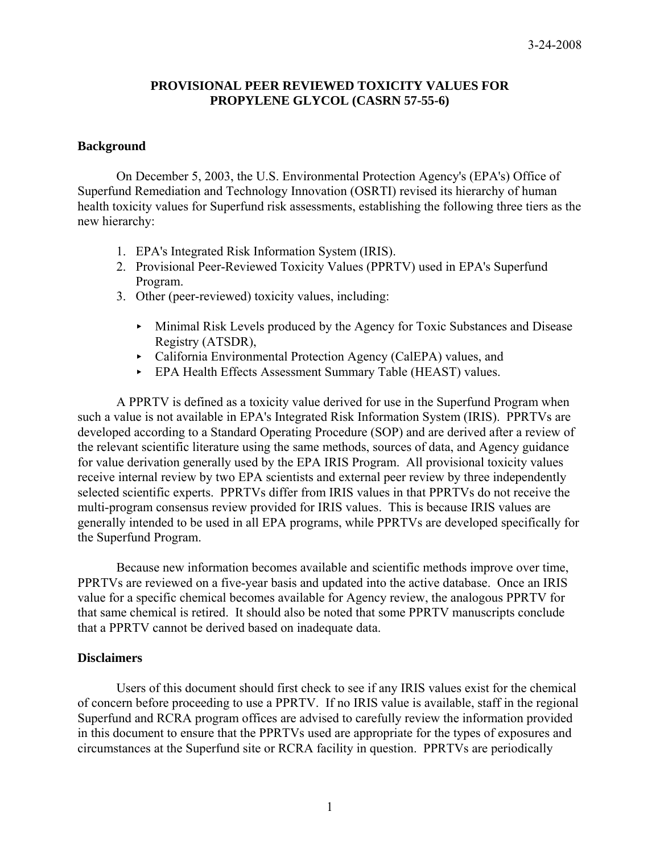## **PROVISIONAL PEER REVIEWED TOXICITY VALUES FOR PROPYLENE GLYCOL (CASRN 57-55-6)**

## **Background**

On December 5, 2003, the U.S. Environmental Protection Agency's (EPA's) Office of Superfund Remediation and Technology Innovation (OSRTI) revised its hierarchy of human health toxicity values for Superfund risk assessments, establishing the following three tiers as the new hierarchy:

- 1. EPA's Integrated Risk Information System (IRIS).
- 2. Provisional Peer-Reviewed Toxicity Values (PPRTV) used in EPA's Superfund Program.
- 3. Other (peer-reviewed) toxicity values, including:
	- < Minimal Risk Levels produced by the Agency for Toxic Substances and Disease Registry (ATSDR),
	- < California Environmental Protection Agency (CalEPA) values, and
	- < EPA Health Effects Assessment Summary Table (HEAST) values.

A PPRTV is defined as a toxicity value derived for use in the Superfund Program when such a value is not available in EPA's Integrated Risk Information System (IRIS). PPRTVs are developed according to a Standard Operating Procedure (SOP) and are derived after a review of the relevant scientific literature using the same methods, sources of data, and Agency guidance for value derivation generally used by the EPA IRIS Program. All provisional toxicity values receive internal review by two EPA scientists and external peer review by three independently selected scientific experts. PPRTVs differ from IRIS values in that PPRTVs do not receive the multi-program consensus review provided for IRIS values. This is because IRIS values are generally intended to be used in all EPA programs, while PPRTVs are developed specifically for the Superfund Program.

 Because new information becomes available and scientific methods improve over time, PPRTVs are reviewed on a five-year basis and updated into the active database. Once an IRIS value for a specific chemical becomes available for Agency review, the analogous PPRTV for that same chemical is retired. It should also be noted that some PPRTV manuscripts conclude that a PPRTV cannot be derived based on inadequate data.

## **Disclaimers**

 Users of this document should first check to see if any IRIS values exist for the chemical of concern before proceeding to use a PPRTV. If no IRIS value is available, staff in the regional Superfund and RCRA program offices are advised to carefully review the information provided in this document to ensure that the PPRTVs used are appropriate for the types of exposures and circumstances at the Superfund site or RCRA facility in question. PPRTVs are periodically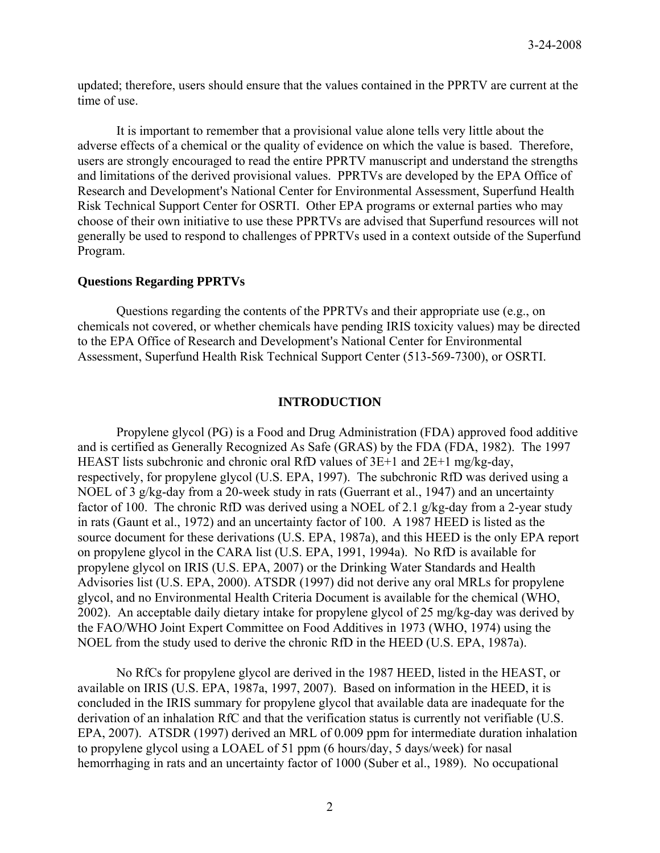updated; therefore, users should ensure that the values contained in the PPRTV are current at the time of use.

It is important to remember that a provisional value alone tells very little about the adverse effects of a chemical or the quality of evidence on which the value is based. Therefore, users are strongly encouraged to read the entire PPRTV manuscript and understand the strengths and limitations of the derived provisional values. PPRTVs are developed by the EPA Office of Research and Development's National Center for Environmental Assessment, Superfund Health Risk Technical Support Center for OSRTI. Other EPA programs or external parties who may choose of their own initiative to use these PPRTVs are advised that Superfund resources will not generally be used to respond to challenges of PPRTVs used in a context outside of the Superfund Program.

#### **Questions Regarding PPRTVs**

 Questions regarding the contents of the PPRTVs and their appropriate use (e.g., on chemicals not covered, or whether chemicals have pending IRIS toxicity values) may be directed to the EPA Office of Research and Development's National Center for Environmental Assessment, Superfund Health Risk Technical Support Center (513-569-7300), or OSRTI.

#### **INTRODUCTION**

Propylene glycol (PG) is a Food and Drug Administration (FDA) approved food additive and is certified as Generally Recognized As Safe (GRAS) by the FDA (FDA, 1982). The 1997 HEAST lists subchronic and chronic oral RfD values of 3E+1 and 2E+1 mg/kg-day, respectively, for propylene glycol (U.S. EPA, 1997). The subchronic RfD was derived using a NOEL of 3 g/kg-day from a 20-week study in rats (Guerrant et al., 1947) and an uncertainty factor of 100. The chronic RfD was derived using a NOEL of 2.1 g/kg-day from a 2-year study in rats (Gaunt et al., 1972) and an uncertainty factor of 100. A 1987 HEED is listed as the source document for these derivations (U.S. EPA, 1987a), and this HEED is the only EPA report on propylene glycol in the CARA list (U.S. EPA, 1991, 1994a). No RfD is available for propylene glycol on IRIS (U.S. EPA, 2007) or the Drinking Water Standards and Health Advisories list (U.S. EPA, 2000). ATSDR (1997) did not derive any oral MRLs for propylene glycol, and no Environmental Health Criteria Document is available for the chemical (WHO, 2002). An acceptable daily dietary intake for propylene glycol of 25 mg/kg-day was derived by the FAO/WHO Joint Expert Committee on Food Additives in 1973 (WHO, 1974) using the NOEL from the study used to derive the chronic RfD in the HEED (U.S. EPA, 1987a).

No RfCs for propylene glycol are derived in the 1987 HEED, listed in the HEAST, or available on IRIS (U.S. EPA, 1987a, 1997, 2007). Based on information in the HEED, it is concluded in the IRIS summary for propylene glycol that available data are inadequate for the derivation of an inhalation RfC and that the verification status is currently not verifiable (U.S. EPA, 2007). ATSDR (1997) derived an MRL of 0.009 ppm for intermediate duration inhalation to propylene glycol using a LOAEL of 51 ppm (6 hours/day, 5 days/week) for nasal hemorrhaging in rats and an uncertainty factor of 1000 (Suber et al., 1989). No occupational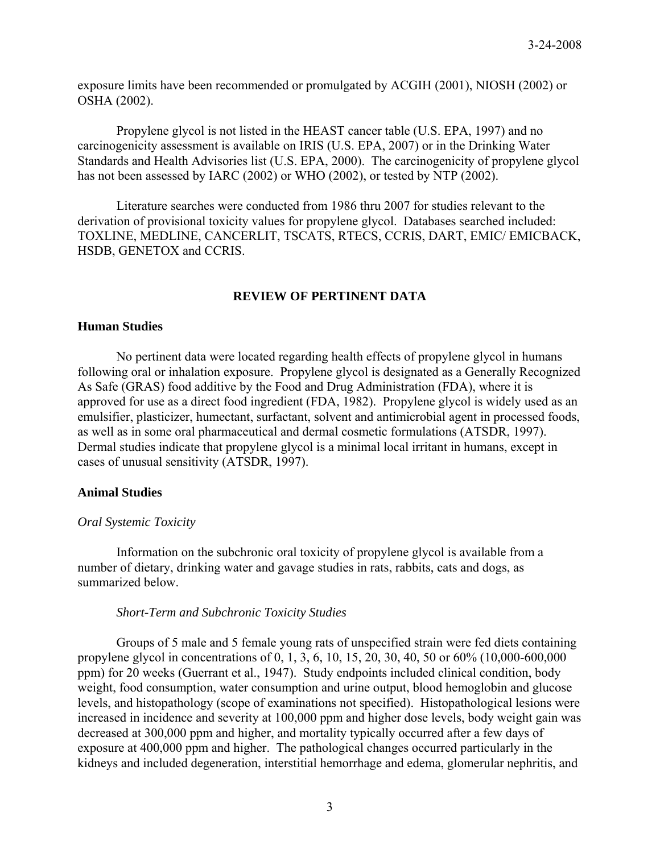exposure limits have been recommended or promulgated by ACGIH (2001), NIOSH (2002) or OSHA (2002).

Propylene glycol is not listed in the HEAST cancer table (U.S. EPA, 1997) and no carcinogenicity assessment is available on IRIS (U.S. EPA, 2007) or in the Drinking Water Standards and Health Advisories list (U.S. EPA, 2000). The carcinogenicity of propylene glycol has not been assessed by IARC (2002) or WHO (2002), or tested by NTP (2002).

Literature searches were conducted from 1986 thru 2007 for studies relevant to the derivation of provisional toxicity values for propylene glycol. Databases searched included: TOXLINE, MEDLINE, CANCERLIT, TSCATS, RTECS, CCRIS, DART, EMIC/ EMICBACK, HSDB, GENETOX and CCRIS.

## **REVIEW OF PERTINENT DATA**

## **Human Studies**

No pertinent data were located regarding health effects of propylene glycol in humans following oral or inhalation exposure. Propylene glycol is designated as a Generally Recognized As Safe (GRAS) food additive by the Food and Drug Administration (FDA), where it is approved for use as a direct food ingredient (FDA, 1982). Propylene glycol is widely used as an emulsifier, plasticizer, humectant, surfactant, solvent and antimicrobial agent in processed foods, as well as in some oral pharmaceutical and dermal cosmetic formulations (ATSDR, 1997). Dermal studies indicate that propylene glycol is a minimal local irritant in humans, except in cases of unusual sensitivity (ATSDR, 1997).

#### **Animal Studies**

#### *Oral Systemic Toxicity*

Information on the subchronic oral toxicity of propylene glycol is available from a number of dietary, drinking water and gavage studies in rats, rabbits, cats and dogs, as summarized below.

#### *Short-Term and Subchronic Toxicity Studies*

Groups of 5 male and 5 female young rats of unspecified strain were fed diets containing propylene glycol in concentrations of 0, 1, 3, 6, 10, 15, 20, 30, 40, 50 or 60% (10,000-600,000 ppm) for 20 weeks (Guerrant et al., 1947). Study endpoints included clinical condition, body weight, food consumption, water consumption and urine output, blood hemoglobin and glucose levels, and histopathology (scope of examinations not specified). Histopathological lesions were increased in incidence and severity at 100,000 ppm and higher dose levels, body weight gain was decreased at 300,000 ppm and higher, and mortality typically occurred after a few days of exposure at 400,000 ppm and higher. The pathological changes occurred particularly in the kidneys and included degeneration, interstitial hemorrhage and edema, glomerular nephritis, and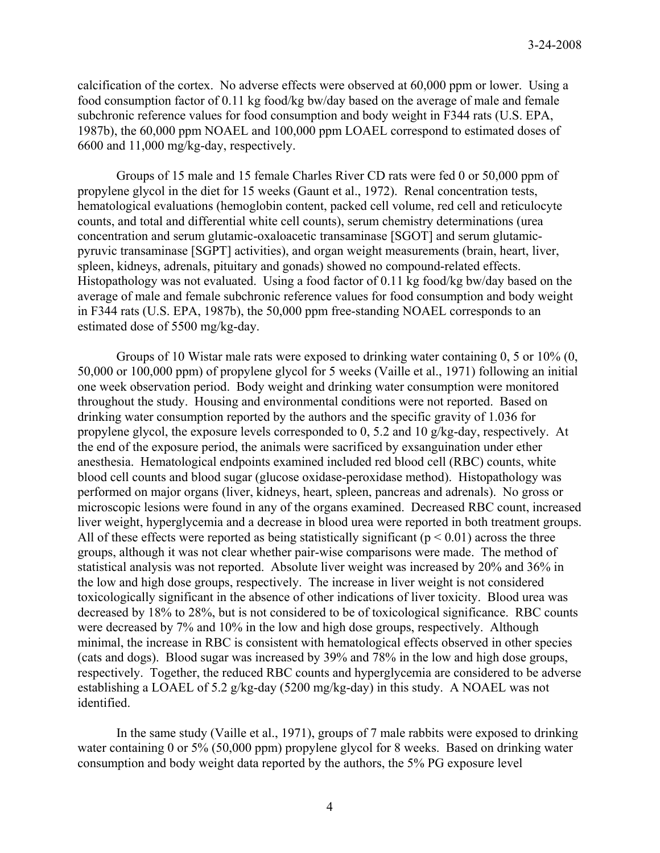calcification of the cortex. No adverse effects were observed at 60,000 ppm or lower. Using a food consumption factor of 0.11 kg food/kg bw/day based on the average of male and female subchronic reference values for food consumption and body weight in F344 rats (U.S. EPA, 1987b), the 60,000 ppm NOAEL and 100,000 ppm LOAEL correspond to estimated doses of 6600 and 11,000 mg/kg-day, respectively.

Groups of 15 male and 15 female Charles River CD rats were fed 0 or 50,000 ppm of propylene glycol in the diet for 15 weeks (Gaunt et al., 1972). Renal concentration tests, hematological evaluations (hemoglobin content, packed cell volume, red cell and reticulocyte counts, and total and differential white cell counts), serum chemistry determinations (urea concentration and serum glutamic-oxaloacetic transaminase [SGOT] and serum glutamicpyruvic transaminase [SGPT] activities), and organ weight measurements (brain, heart, liver, spleen, kidneys, adrenals, pituitary and gonads) showed no compound-related effects. Histopathology was not evaluated. Using a food factor of 0.11 kg food/kg bw/day based on the average of male and female subchronic reference values for food consumption and body weight in F344 rats (U.S. EPA, 1987b), the 50,000 ppm free-standing NOAEL corresponds to an estimated dose of 5500 mg/kg-day.

Groups of 10 Wistar male rats were exposed to drinking water containing 0, 5 or 10% (0, 50,000 or 100,000 ppm) of propylene glycol for 5 weeks (Vaille et al., 1971) following an initial one week observation period. Body weight and drinking water consumption were monitored throughout the study. Housing and environmental conditions were not reported. Based on drinking water consumption reported by the authors and the specific gravity of 1.036 for propylene glycol, the exposure levels corresponded to 0, 5.2 and 10 g/kg-day, respectively. At the end of the exposure period, the animals were sacrificed by exsanguination under ether anesthesia. Hematological endpoints examined included red blood cell (RBC) counts, white blood cell counts and blood sugar (glucose oxidase-peroxidase method). Histopathology was performed on major organs (liver, kidneys, heart, spleen, pancreas and adrenals). No gross or microscopic lesions were found in any of the organs examined. Decreased RBC count, increased liver weight, hyperglycemia and a decrease in blood urea were reported in both treatment groups. All of these effects were reported as being statistically significant ( $p < 0.01$ ) across the three groups, although it was not clear whether pair-wise comparisons were made. The method of statistical analysis was not reported. Absolute liver weight was increased by 20% and 36% in the low and high dose groups, respectively. The increase in liver weight is not considered toxicologically significant in the absence of other indications of liver toxicity. Blood urea was decreased by 18% to 28%, but is not considered to be of toxicological significance. RBC counts were decreased by 7% and 10% in the low and high dose groups, respectively. Although minimal, the increase in RBC is consistent with hematological effects observed in other species (cats and dogs). Blood sugar was increased by 39% and 78% in the low and high dose groups, respectively. Together, the reduced RBC counts and hyperglycemia are considered to be adverse establishing a LOAEL of 5.2 g/kg-day (5200 mg/kg-day) in this study. A NOAEL was not identified.

 In the same study (Vaille et al., 1971), groups of 7 male rabbits were exposed to drinking water containing 0 or 5% (50,000 ppm) propylene glycol for 8 weeks. Based on drinking water consumption and body weight data reported by the authors, the 5% PG exposure level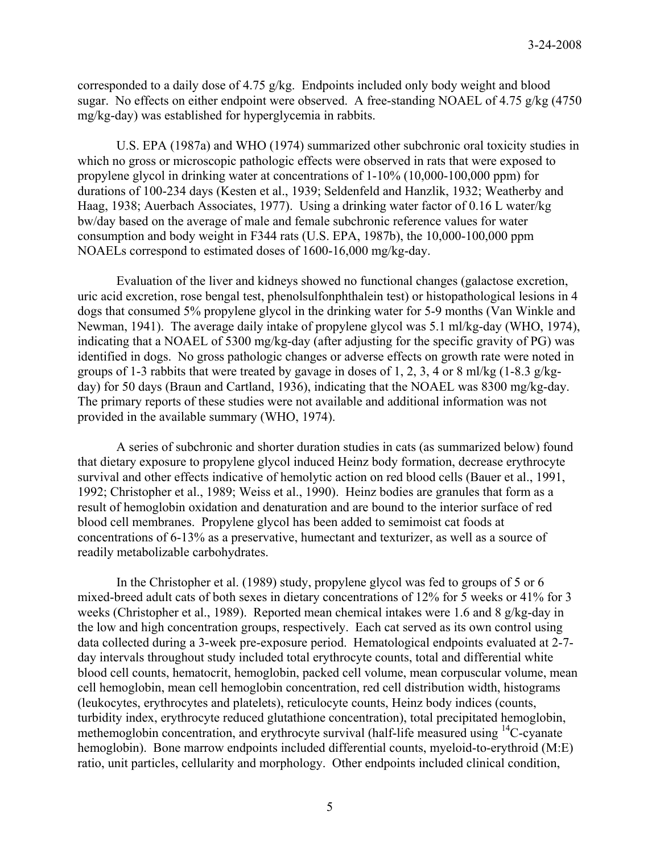corresponded to a daily dose of 4.75 g/kg. Endpoints included only body weight and blood sugar. No effects on either endpoint were observed. A free-standing NOAEL of 4.75 g/kg (4750) mg/kg-day) was established for hyperglycemia in rabbits.

U.S. EPA (1987a) and WHO (1974) summarized other subchronic oral toxicity studies in which no gross or microscopic pathologic effects were observed in rats that were exposed to propylene glycol in drinking water at concentrations of 1-10% (10,000-100,000 ppm) for durations of 100-234 days (Kesten et al., 1939; Seldenfeld and Hanzlik, 1932; Weatherby and Haag, 1938; Auerbach Associates, 1977). Using a drinking water factor of 0.16 L water/kg bw/day based on the average of male and female subchronic reference values for water consumption and body weight in F344 rats (U.S. EPA, 1987b), the 10,000-100,000 ppm NOAELs correspond to estimated doses of 1600-16,000 mg/kg-day.

Evaluation of the liver and kidneys showed no functional changes (galactose excretion, uric acid excretion, rose bengal test, phenolsulfonphthalein test) or histopathological lesions in 4 dogs that consumed 5% propylene glycol in the drinking water for 5-9 months (Van Winkle and Newman, 1941). The average daily intake of propylene glycol was 5.1 ml/kg-day (WHO, 1974), indicating that a NOAEL of 5300 mg/kg-day (after adjusting for the specific gravity of PG) was identified in dogs. No gross pathologic changes or adverse effects on growth rate were noted in groups of 1-3 rabbits that were treated by gavage in doses of 1, 2, 3, 4 or 8 ml/kg (1-8.3 g/kgday) for 50 days (Braun and Cartland, 1936), indicating that the NOAEL was 8300 mg/kg-day. The primary reports of these studies were not available and additional information was not provided in the available summary (WHO, 1974).

A series of subchronic and shorter duration studies in cats (as summarized below) found that dietary exposure to propylene glycol induced Heinz body formation, decrease erythrocyte survival and other effects indicative of hemolytic action on red blood cells (Bauer et al., 1991, 1992; Christopher et al., 1989; Weiss et al., 1990). Heinz bodies are granules that form as a result of hemoglobin oxidation and denaturation and are bound to the interior surface of red blood cell membranes. Propylene glycol has been added to semimoist cat foods at concentrations of 6-13% as a preservative, humectant and texturizer, as well as a source of readily metabolizable carbohydrates.

In the Christopher et al. (1989) study, propylene glycol was fed to groups of 5 or 6 mixed-breed adult cats of both sexes in dietary concentrations of 12% for 5 weeks or 41% for 3 weeks (Christopher et al., 1989). Reported mean chemical intakes were 1.6 and 8  $g/kg$ -day in the low and high concentration groups, respectively. Each cat served as its own control using data collected during a 3-week pre-exposure period. Hematological endpoints evaluated at 2-7 day intervals throughout study included total erythrocyte counts, total and differential white blood cell counts, hematocrit, hemoglobin, packed cell volume, mean corpuscular volume, mean cell hemoglobin, mean cell hemoglobin concentration, red cell distribution width, histograms (leukocytes, erythrocytes and platelets), reticulocyte counts, Heinz body indices (counts, turbidity index, erythrocyte reduced glutathione concentration), total precipitated hemoglobin, methemoglobin concentration, and erythrocyte survival (half-life measured using <sup>14</sup>C-cyanate hemoglobin). Bone marrow endpoints included differential counts, myeloid-to-erythroid (M:E) ratio, unit particles, cellularity and morphology. Other endpoints included clinical condition,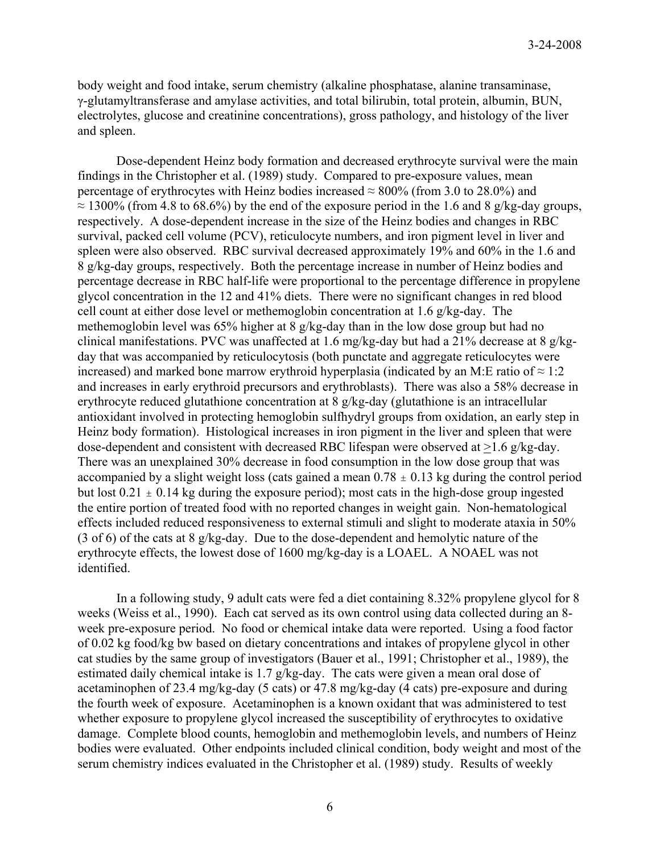body weight and food intake, serum chemistry (alkaline phosphatase, alanine transaminase, γ-glutamyltransferase and amylase activities, and total bilirubin, total protein, albumin, BUN, electrolytes, glucose and creatinine concentrations), gross pathology, and histology of the liver and spleen.

Dose-dependent Heinz body formation and decreased erythrocyte survival were the main findings in the Christopher et al. (1989) study. Compared to pre-exposure values, mean percentage of erythrocytes with Heinz bodies increased  $\approx 800\%$  (from 3.0 to 28.0%) and  $\approx$  1300% (from 4.8 to 68.6%) by the end of the exposure period in the 1.6 and 8 g/kg-day groups, respectively. A dose-dependent increase in the size of the Heinz bodies and changes in RBC survival, packed cell volume (PCV), reticulocyte numbers, and iron pigment level in liver and spleen were also observed. RBC survival decreased approximately 19% and 60% in the 1.6 and 8 g/kg-day groups, respectively. Both the percentage increase in number of Heinz bodies and percentage decrease in RBC half-life were proportional to the percentage difference in propylene glycol concentration in the 12 and 41% diets. There were no significant changes in red blood cell count at either dose level or methemoglobin concentration at 1.6 g/kg-day. The methemoglobin level was 65% higher at 8 g/kg-day than in the low dose group but had no clinical manifestations. PVC was unaffected at 1.6 mg/kg-day but had a 21% decrease at 8 g/kgday that was accompanied by reticulocytosis (both punctate and aggregate reticulocytes were increased) and marked bone marrow erythroid hyperplasia (indicated by an M:E ratio of  $\approx 1:2$ and increases in early erythroid precursors and erythroblasts). There was also a 58% decrease in erythrocyte reduced glutathione concentration at 8 g/kg-day (glutathione is an intracellular antioxidant involved in protecting hemoglobin sulfhydryl groups from oxidation, an early step in Heinz body formation). Histological increases in iron pigment in the liver and spleen that were dose-dependent and consistent with decreased RBC lifespan were observed at >1.6 g/kg-day. There was an unexplained 30% decrease in food consumption in the low dose group that was accompanied by a slight weight loss (cats gained a mean  $0.78 \pm 0.13$  kg during the control period but lost  $0.21 \pm 0.14$  kg during the exposure period); most cats in the high-dose group ingested the entire portion of treated food with no reported changes in weight gain. Non-hematological effects included reduced responsiveness to external stimuli and slight to moderate ataxia in 50% (3 of 6) of the cats at 8 g/kg-day. Due to the dose-dependent and hemolytic nature of the erythrocyte effects, the lowest dose of 1600 mg/kg-day is a LOAEL. A NOAEL was not identified.

In a following study, 9 adult cats were fed a diet containing 8.32% propylene glycol for 8 weeks (Weiss et al., 1990). Each cat served as its own control using data collected during an 8 week pre-exposure period. No food or chemical intake data were reported. Using a food factor of 0.02 kg food/kg bw based on dietary concentrations and intakes of propylene glycol in other cat studies by the same group of investigators (Bauer et al., 1991; Christopher et al., 1989), the estimated daily chemical intake is 1.7 g/kg-day. The cats were given a mean oral dose of acetaminophen of 23.4 mg/kg-day (5 cats) or 47.8 mg/kg-day (4 cats) pre-exposure and during the fourth week of exposure. Acetaminophen is a known oxidant that was administered to test whether exposure to propylene glycol increased the susceptibility of erythrocytes to oxidative damage. Complete blood counts, hemoglobin and methemoglobin levels, and numbers of Heinz bodies were evaluated. Other endpoints included clinical condition, body weight and most of the serum chemistry indices evaluated in the Christopher et al. (1989) study. Results of weekly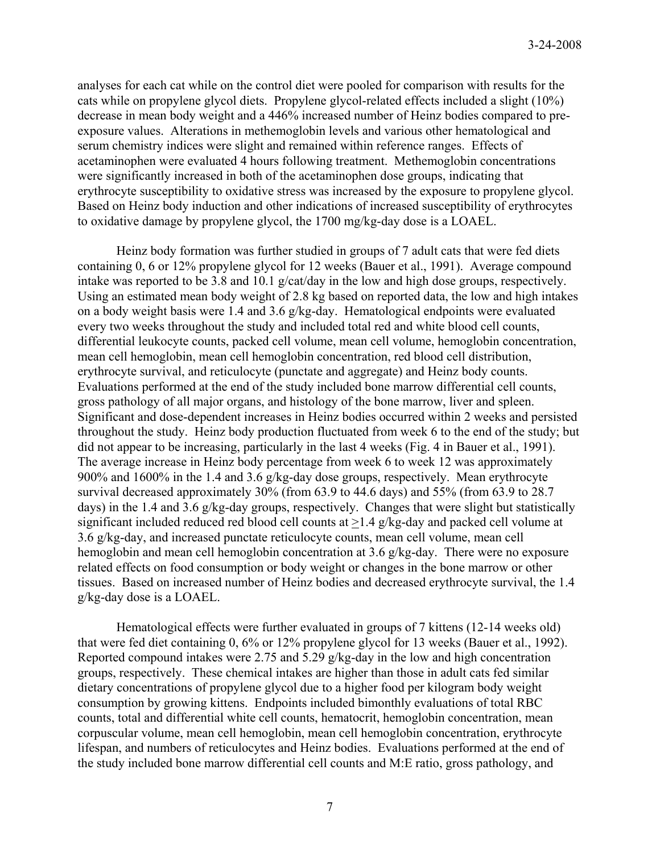analyses for each cat while on the control diet were pooled for comparison with results for the cats while on propylene glycol diets. Propylene glycol-related effects included a slight (10%) decrease in mean body weight and a 446% increased number of Heinz bodies compared to preexposure values. Alterations in methemoglobin levels and various other hematological and serum chemistry indices were slight and remained within reference ranges. Effects of acetaminophen were evaluated 4 hours following treatment. Methemoglobin concentrations were significantly increased in both of the acetaminophen dose groups, indicating that erythrocyte susceptibility to oxidative stress was increased by the exposure to propylene glycol. Based on Heinz body induction and other indications of increased susceptibility of erythrocytes to oxidative damage by propylene glycol, the 1700 mg/kg-day dose is a LOAEL.

Heinz body formation was further studied in groups of 7 adult cats that were fed diets containing 0, 6 or 12% propylene glycol for 12 weeks (Bauer et al., 1991). Average compound intake was reported to be 3.8 and 10.1 g/cat/day in the low and high dose groups, respectively. Using an estimated mean body weight of 2.8 kg based on reported data, the low and high intakes on a body weight basis were 1.4 and 3.6 g/kg-day. Hematological endpoints were evaluated every two weeks throughout the study and included total red and white blood cell counts, differential leukocyte counts, packed cell volume, mean cell volume, hemoglobin concentration, mean cell hemoglobin, mean cell hemoglobin concentration, red blood cell distribution, erythrocyte survival, and reticulocyte (punctate and aggregate) and Heinz body counts. Evaluations performed at the end of the study included bone marrow differential cell counts, gross pathology of all major organs, and histology of the bone marrow, liver and spleen. Significant and dose-dependent increases in Heinz bodies occurred within 2 weeks and persisted throughout the study. Heinz body production fluctuated from week 6 to the end of the study; but did not appear to be increasing, particularly in the last 4 weeks (Fig. 4 in Bauer et al., 1991). The average increase in Heinz body percentage from week 6 to week 12 was approximately 900% and 1600% in the 1.4 and 3.6 g/kg-day dose groups, respectively. Mean erythrocyte survival decreased approximately 30% (from 63.9 to 44.6 days) and 55% (from 63.9 to 28.7 days) in the 1.4 and 3.6 g/kg-day groups, respectively. Changes that were slight but statistically significant included reduced red blood cell counts at >1.4 g/kg-day and packed cell volume at 3.6 g/kg-day, and increased punctate reticulocyte counts, mean cell volume, mean cell hemoglobin and mean cell hemoglobin concentration at 3.6 g/kg-day. There were no exposure related effects on food consumption or body weight or changes in the bone marrow or other tissues. Based on increased number of Heinz bodies and decreased erythrocyte survival, the 1.4 g/kg-day dose is a LOAEL.

Hematological effects were further evaluated in groups of 7 kittens (12-14 weeks old) that were fed diet containing 0, 6% or 12% propylene glycol for 13 weeks (Bauer et al., 1992). Reported compound intakes were 2.75 and 5.29 g/kg-day in the low and high concentration groups, respectively. These chemical intakes are higher than those in adult cats fed similar dietary concentrations of propylene glycol due to a higher food per kilogram body weight consumption by growing kittens. Endpoints included bimonthly evaluations of total RBC counts, total and differential white cell counts, hematocrit, hemoglobin concentration, mean corpuscular volume, mean cell hemoglobin, mean cell hemoglobin concentration, erythrocyte lifespan, and numbers of reticulocytes and Heinz bodies. Evaluations performed at the end of the study included bone marrow differential cell counts and M:E ratio, gross pathology, and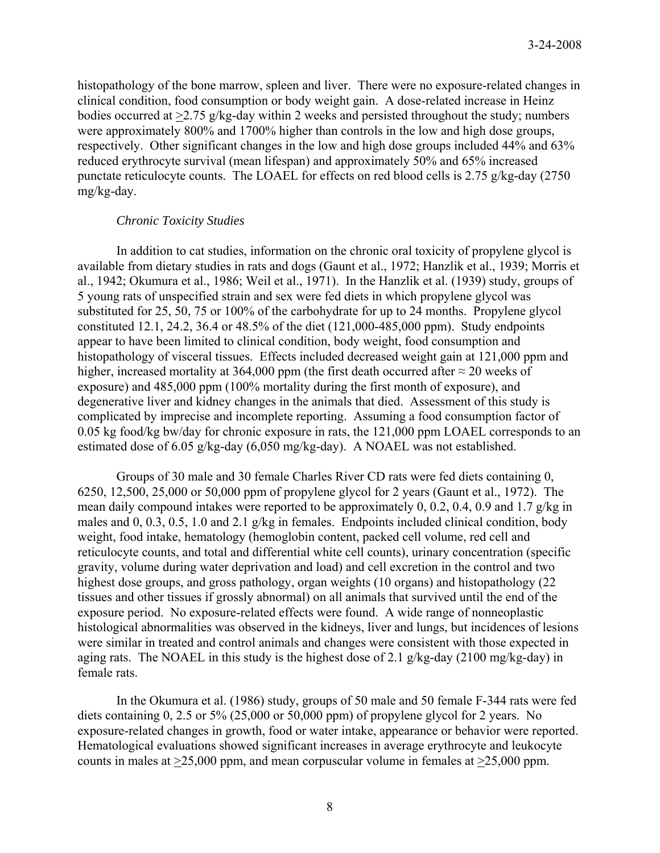histopathology of the bone marrow, spleen and liver. There were no exposure-related changes in clinical condition, food consumption or body weight gain. A dose-related increase in Heinz bodies occurred at >2.75 g/kg-day within 2 weeks and persisted throughout the study; numbers were approximately 800% and 1700% higher than controls in the low and high dose groups, respectively. Other significant changes in the low and high dose groups included 44% and 63% reduced erythrocyte survival (mean lifespan) and approximately 50% and 65% increased punctate reticulocyte counts. The LOAEL for effects on red blood cells is 2.75 g/kg-day (2750 mg/kg-day.

## *Chronic Toxicity Studies*

In addition to cat studies, information on the chronic oral toxicity of propylene glycol is available from dietary studies in rats and dogs (Gaunt et al., 1972; Hanzlik et al., 1939; Morris et al., 1942; Okumura et al., 1986; Weil et al., 1971). In the Hanzlik et al. (1939) study, groups of 5 young rats of unspecified strain and sex were fed diets in which propylene glycol was substituted for 25, 50, 75 or 100% of the carbohydrate for up to 24 months. Propylene glycol constituted 12.1, 24.2, 36.4 or 48.5% of the diet (121,000-485,000 ppm). Study endpoints appear to have been limited to clinical condition, body weight, food consumption and histopathology of visceral tissues. Effects included decreased weight gain at 121,000 ppm and higher, increased mortality at 364,000 ppm (the first death occurred after  $\approx$  20 weeks of exposure) and 485,000 ppm (100% mortality during the first month of exposure), and degenerative liver and kidney changes in the animals that died. Assessment of this study is complicated by imprecise and incomplete reporting. Assuming a food consumption factor of 0.05 kg food/kg bw/day for chronic exposure in rats, the 121,000 ppm LOAEL corresponds to an estimated dose of 6.05 g/kg-day (6,050 mg/kg-day). A NOAEL was not established.

Groups of 30 male and 30 female Charles River CD rats were fed diets containing 0, 6250, 12,500, 25,000 or 50,000 ppm of propylene glycol for 2 years (Gaunt et al., 1972). The mean daily compound intakes were reported to be approximately 0, 0.2, 0.4, 0.9 and 1.7 g/kg in males and 0, 0.3, 0.5, 1.0 and 2.1 g/kg in females. Endpoints included clinical condition, body weight, food intake, hematology (hemoglobin content, packed cell volume, red cell and reticulocyte counts, and total and differential white cell counts), urinary concentration (specific gravity, volume during water deprivation and load) and cell excretion in the control and two highest dose groups, and gross pathology, organ weights (10 organs) and histopathology (22 tissues and other tissues if grossly abnormal) on all animals that survived until the end of the exposure period. No exposure-related effects were found. A wide range of nonneoplastic histological abnormalities was observed in the kidneys, liver and lungs, but incidences of lesions were similar in treated and control animals and changes were consistent with those expected in aging rats. The NOAEL in this study is the highest dose of 2.1 g/kg-day (2100 mg/kg-day) in female rats.

In the Okumura et al. (1986) study, groups of 50 male and 50 female F-344 rats were fed diets containing 0, 2.5 or 5% (25,000 or 50,000 ppm) of propylene glycol for 2 years. No exposure-related changes in growth, food or water intake, appearance or behavior were reported. Hematological evaluations showed significant increases in average erythrocyte and leukocyte counts in males at >25,000 ppm, and mean corpuscular volume in females at >25,000 ppm.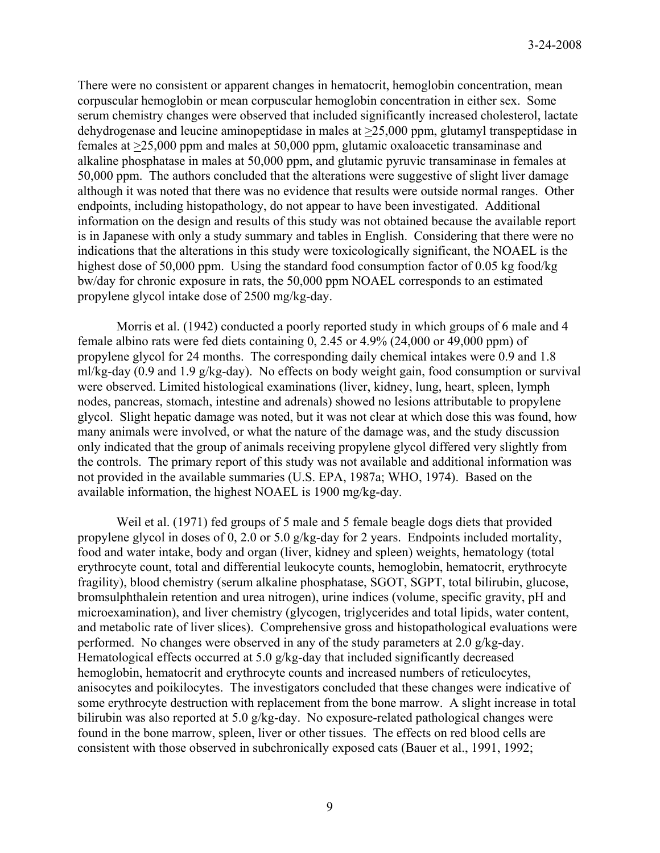There were no consistent or apparent changes in hematocrit, hemoglobin concentration, mean corpuscular hemoglobin or mean corpuscular hemoglobin concentration in either sex. Some serum chemistry changes were observed that included significantly increased cholesterol, lactate dehydrogenase and leucine aminopeptidase in males at >25,000 ppm, glutamyl transpeptidase in females at >25,000 ppm and males at 50,000 ppm, glutamic oxaloacetic transaminase and alkaline phosphatase in males at 50,000 ppm, and glutamic pyruvic transaminase in females at 50,000 ppm. The authors concluded that the alterations were suggestive of slight liver damage although it was noted that there was no evidence that results were outside normal ranges. Other endpoints, including histopathology, do not appear to have been investigated. Additional information on the design and results of this study was not obtained because the available report is in Japanese with only a study summary and tables in English. Considering that there were no indications that the alterations in this study were toxicologically significant, the NOAEL is the highest dose of 50,000 ppm. Using the standard food consumption factor of 0.05 kg food/kg bw/day for chronic exposure in rats, the 50,000 ppm NOAEL corresponds to an estimated propylene glycol intake dose of 2500 mg/kg-day.

Morris et al. (1942) conducted a poorly reported study in which groups of 6 male and 4 female albino rats were fed diets containing 0, 2.45 or 4.9% (24,000 or 49,000 ppm) of propylene glycol for 24 months. The corresponding daily chemical intakes were 0.9 and 1.8 ml/kg-day (0.9 and 1.9 g/kg-day). No effects on body weight gain, food consumption or survival were observed. Limited histological examinations (liver, kidney, lung, heart, spleen, lymph nodes, pancreas, stomach, intestine and adrenals) showed no lesions attributable to propylene glycol. Slight hepatic damage was noted, but it was not clear at which dose this was found, how many animals were involved, or what the nature of the damage was, and the study discussion only indicated that the group of animals receiving propylene glycol differed very slightly from the controls. The primary report of this study was not available and additional information was not provided in the available summaries (U.S. EPA, 1987a; WHO, 1974). Based on the available information, the highest NOAEL is 1900 mg/kg-day.

Weil et al. (1971) fed groups of 5 male and 5 female beagle dogs diets that provided propylene glycol in doses of 0, 2.0 or 5.0 g/kg-day for 2 years. Endpoints included mortality, food and water intake, body and organ (liver, kidney and spleen) weights, hematology (total erythrocyte count, total and differential leukocyte counts, hemoglobin, hematocrit, erythrocyte fragility), blood chemistry (serum alkaline phosphatase, SGOT, SGPT, total bilirubin, glucose, bromsulphthalein retention and urea nitrogen), urine indices (volume, specific gravity, pH and microexamination), and liver chemistry (glycogen, triglycerides and total lipids, water content, and metabolic rate of liver slices). Comprehensive gross and histopathological evaluations were performed. No changes were observed in any of the study parameters at 2.0 g/kg-day. Hematological effects occurred at 5.0 g/kg-day that included significantly decreased hemoglobin, hematocrit and erythrocyte counts and increased numbers of reticulocytes, anisocytes and poikilocytes. The investigators concluded that these changes were indicative of some erythrocyte destruction with replacement from the bone marrow. A slight increase in total bilirubin was also reported at 5.0 g/kg-day. No exposure-related pathological changes were found in the bone marrow, spleen, liver or other tissues. The effects on red blood cells are consistent with those observed in subchronically exposed cats (Bauer et al., 1991, 1992;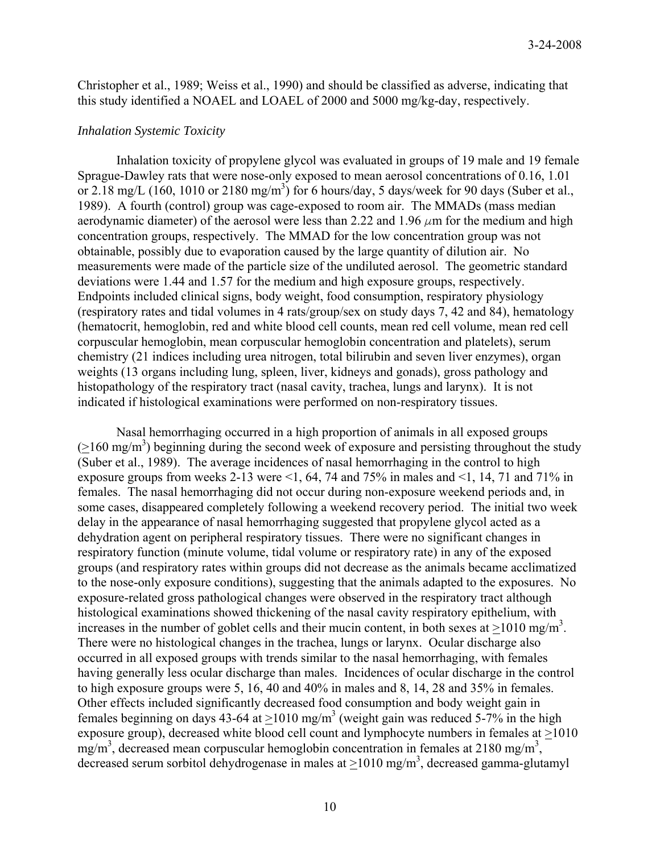Christopher et al., 1989; Weiss et al., 1990) and should be classified as adverse, indicating that this study identified a NOAEL and LOAEL of 2000 and 5000 mg/kg-day, respectively.

#### *Inhalation Systemic Toxicity*

Inhalation toxicity of propylene glycol was evaluated in groups of 19 male and 19 female Sprague-Dawley rats that were nose-only exposed to mean aerosol concentrations of 0.16, 1.01 or 2.18 mg/L (160, 1010 or 2180 mg/m<sup>3</sup>) for 6 hours/day, 5 days/week for 90 days (Suber et al., 1989). A fourth (control) group was cage-exposed to room air. The MMADs (mass median aerodynamic diameter) of the aerosol were less than 2.22 and 1.96  $\mu$ m for the medium and high concentration groups, respectively. The MMAD for the low concentration group was not obtainable, possibly due to evaporation caused by the large quantity of dilution air. No measurements were made of the particle size of the undiluted aerosol. The geometric standard deviations were 1.44 and 1.57 for the medium and high exposure groups, respectively. Endpoints included clinical signs, body weight, food consumption, respiratory physiology (respiratory rates and tidal volumes in 4 rats/group/sex on study days 7, 42 and 84), hematology (hematocrit, hemoglobin, red and white blood cell counts, mean red cell volume, mean red cell corpuscular hemoglobin, mean corpuscular hemoglobin concentration and platelets), serum chemistry (21 indices including urea nitrogen, total bilirubin and seven liver enzymes), organ weights (13 organs including lung, spleen, liver, kidneys and gonads), gross pathology and histopathology of the respiratory tract (nasal cavity, trachea, lungs and larynx). It is not indicated if histological examinations were performed on non-respiratory tissues.

Nasal hemorrhaging occurred in a high proportion of animals in all exposed groups  $( \geq 160 \text{ mg/m}^3)$  beginning during the second week of exposure and persisting throughout the study (Suber et al., 1989). The average incidences of nasal hemorrhaging in the control to high exposure groups from weeks 2-13 were  $\leq 1$ , 64, 74 and 75% in males and  $\leq 1$ , 14, 71 and 71% in females. The nasal hemorrhaging did not occur during non-exposure weekend periods and, in some cases, disappeared completely following a weekend recovery period. The initial two week delay in the appearance of nasal hemorrhaging suggested that propylene glycol acted as a dehydration agent on peripheral respiratory tissues. There were no significant changes in respiratory function (minute volume, tidal volume or respiratory rate) in any of the exposed groups (and respiratory rates within groups did not decrease as the animals became acclimatized to the nose-only exposure conditions), suggesting that the animals adapted to the exposures. No exposure-related gross pathological changes were observed in the respiratory tract although histological examinations showed thickening of the nasal cavity respiratory epithelium, with increases in the number of goblet cells and their mucin content, in both sexes at  $\geq 1010$  mg/m<sup>3</sup>. There were no histological changes in the trachea, lungs or larynx. Ocular discharge also occurred in all exposed groups with trends similar to the nasal hemorrhaging, with females having generally less ocular discharge than males. Incidences of ocular discharge in the control to high exposure groups were 5, 16, 40 and 40% in males and 8, 14, 28 and 35% in females. Other effects included significantly decreased food consumption and body weight gain in females beginning on days 43-64 at  $\geq 1010$  mg/m<sup>3</sup> (weight gain was reduced 5-7% in the high exposure group), decreased white blood cell count and lymphocyte numbers in females at >1010  $mg/m<sup>3</sup>$ , decreased mean corpuscular hemoglobin concentration in females at 2180 mg/m<sup>3</sup>, decreased serum sorbitol dehydrogenase in males at  $\geq 1010$  mg/m<sup>3</sup>, decreased gamma-glutamyl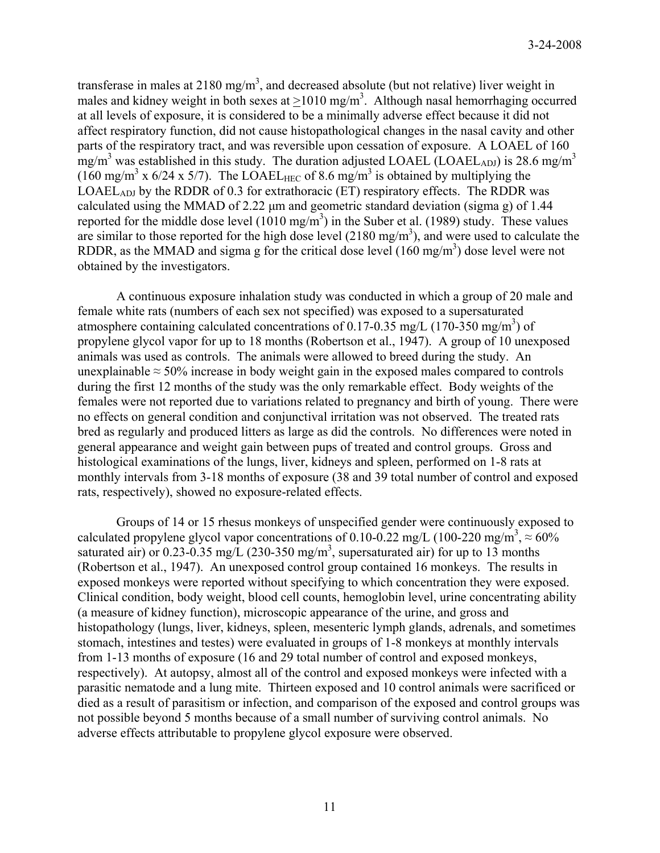transferase in males at 2180 mg/m<sup>3</sup>, and decreased absolute (but not relative) liver weight in males and kidney weight in both sexes at  $\geq 1010$  mg/m<sup>3</sup>. Although nasal hemorrhaging occurred at all levels of exposure, it is considered to be a minimally adverse effect because it did not affect respiratory function, did not cause histopathological changes in the nasal cavity and other parts of the respiratory tract, and was reversible upon cessation of exposure. A LOAEL of 160  $\text{mg/m}^3$  was established in this study. The duration adjusted LOAEL (LOAEL<sub>ADJ</sub>) is 28.6 mg/m<sup>3</sup>  $(160 \text{ mg/m}^3 \times 6/24 \times 5/7)$ . The LOAEL<sub>HEC</sub> of 8.6 mg/m<sup>3</sup> is obtained by multiplying the LOAEL<sub>ADJ</sub> by the RDDR of 0.3 for extrathoracic (ET) respiratory effects. The RDDR was calculated using the MMAD of 2.22 μm and geometric standard deviation (sigma g) of 1.44 reported for the middle dose level  $(1010 \text{ mg/m}^3)$  in the Suber et al. (1989) study. These values are similar to those reported for the high dose level  $(2180 \text{ mg/m}^3)$ , and were used to calculate the RDDR, as the MMAD and sigma g for the critical dose level  $(160 \text{ mg/m}^3)$  dose level were not obtained by the investigators.

 A continuous exposure inhalation study was conducted in which a group of 20 male and female white rats (numbers of each sex not specified) was exposed to a supersaturated atmosphere containing calculated concentrations of 0.17-0.35 mg/L (170-350 mg/m<sup>3</sup>) of propylene glycol vapor for up to 18 months (Robertson et al., 1947). A group of 10 unexposed animals was used as controls. The animals were allowed to breed during the study. An unexplainable  $\approx$  50% increase in body weight gain in the exposed males compared to controls during the first 12 months of the study was the only remarkable effect. Body weights of the females were not reported due to variations related to pregnancy and birth of young. There were no effects on general condition and conjunctival irritation was not observed. The treated rats bred as regularly and produced litters as large as did the controls. No differences were noted in general appearance and weight gain between pups of treated and control groups. Gross and histological examinations of the lungs, liver, kidneys and spleen, performed on 1-8 rats at monthly intervals from 3-18 months of exposure (38 and 39 total number of control and exposed rats, respectively), showed no exposure-related effects.

Groups of 14 or 15 rhesus monkeys of unspecified gender were continuously exposed to calculated propylene glycol vapor concentrations of 0.10-0.22 mg/L (100-220 mg/m<sup>3</sup>,  $\approx$  60% saturated air) or 0.23-0.35 mg/L (230-350 mg/m<sup>3</sup>, supersaturated air) for up to 13 months (Robertson et al., 1947). An unexposed control group contained 16 monkeys. The results in exposed monkeys were reported without specifying to which concentration they were exposed. Clinical condition, body weight, blood cell counts, hemoglobin level, urine concentrating ability (a measure of kidney function), microscopic appearance of the urine, and gross and histopathology (lungs, liver, kidneys, spleen, mesenteric lymph glands, adrenals, and sometimes stomach, intestines and testes) were evaluated in groups of 1-8 monkeys at monthly intervals from 1-13 months of exposure (16 and 29 total number of control and exposed monkeys, respectively). At autopsy, almost all of the control and exposed monkeys were infected with a parasitic nematode and a lung mite. Thirteen exposed and 10 control animals were sacrificed or died as a result of parasitism or infection, and comparison of the exposed and control groups was not possible beyond 5 months because of a small number of surviving control animals. No adverse effects attributable to propylene glycol exposure were observed.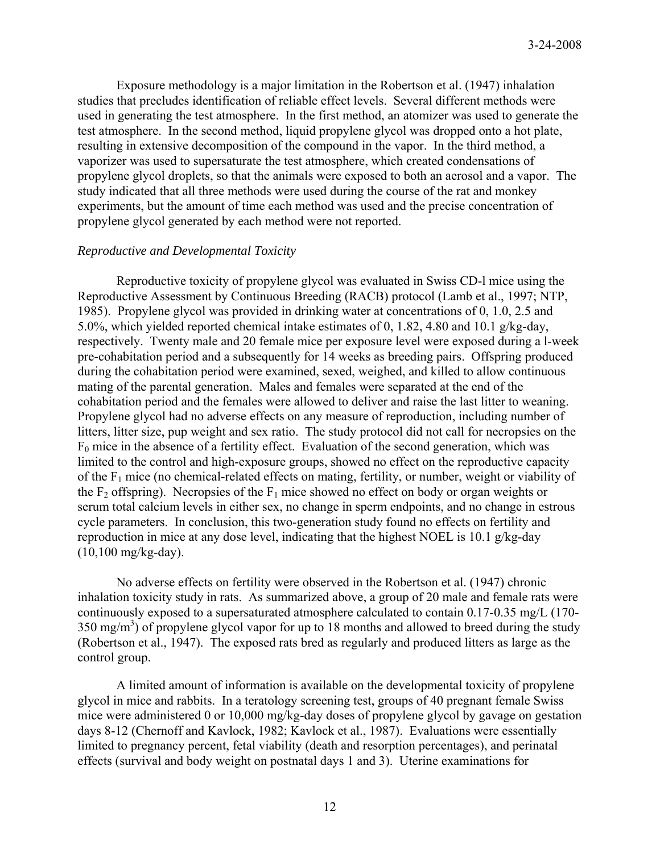Exposure methodology is a major limitation in the Robertson et al. (1947) inhalation studies that precludes identification of reliable effect levels. Several different methods were used in generating the test atmosphere. In the first method, an atomizer was used to generate the test atmosphere. In the second method, liquid propylene glycol was dropped onto a hot plate, resulting in extensive decomposition of the compound in the vapor. In the third method, a vaporizer was used to supersaturate the test atmosphere, which created condensations of propylene glycol droplets, so that the animals were exposed to both an aerosol and a vapor. The study indicated that all three methods were used during the course of the rat and monkey experiments, but the amount of time each method was used and the precise concentration of propylene glycol generated by each method were not reported.

## *Reproductive and Developmental Toxicity*

Reproductive toxicity of propylene glycol was evaluated in Swiss CD-l mice using the Reproductive Assessment by Continuous Breeding (RACB) protocol (Lamb et al., 1997; NTP, 1985). Propylene glycol was provided in drinking water at concentrations of 0, 1.0, 2.5 and 5.0%, which yielded reported chemical intake estimates of 0, 1.82, 4.80 and 10.1 g/kg-day, respectively. Twenty male and 20 female mice per exposure level were exposed during a l-week pre-cohabitation period and a subsequently for 14 weeks as breeding pairs. Offspring produced during the cohabitation period were examined, sexed, weighed, and killed to allow continuous mating of the parental generation. Males and females were separated at the end of the cohabitation period and the females were allowed to deliver and raise the last litter to weaning. Propylene glycol had no adverse effects on any measure of reproduction, including number of litters, litter size, pup weight and sex ratio. The study protocol did not call for necropsies on the  $F_0$  mice in the absence of a fertility effect. Evaluation of the second generation, which was limited to the control and high-exposure groups, showed no effect on the reproductive capacity of the  $F_1$  mice (no chemical-related effects on mating, fertility, or number, weight or viability of the  $F_2$  offspring). Necropsies of the  $F_1$  mice showed no effect on body or organ weights or serum total calcium levels in either sex, no change in sperm endpoints, and no change in estrous cycle parameters. In conclusion, this two-generation study found no effects on fertility and reproduction in mice at any dose level, indicating that the highest NOEL is 10.1 g/kg-day (10,100 mg/kg-day).

No adverse effects on fertility were observed in the Robertson et al. (1947) chronic inhalation toxicity study in rats. As summarized above, a group of 20 male and female rats were continuously exposed to a supersaturated atmosphere calculated to contain 0.17-0.35 mg/L (170-  $350 \text{ mg/m}^3$ ) of propylene glycol vapor for up to 18 months and allowed to breed during the study (Robertson et al., 1947). The exposed rats bred as regularly and produced litters as large as the control group.

A limited amount of information is available on the developmental toxicity of propylene glycol in mice and rabbits. In a teratology screening test, groups of 40 pregnant female Swiss mice were administered 0 or 10,000 mg/kg-day doses of propylene glycol by gavage on gestation days 8-12 (Chernoff and Kavlock, 1982; Kavlock et al., 1987). Evaluations were essentially limited to pregnancy percent, fetal viability (death and resorption percentages), and perinatal effects (survival and body weight on postnatal days 1 and 3). Uterine examinations for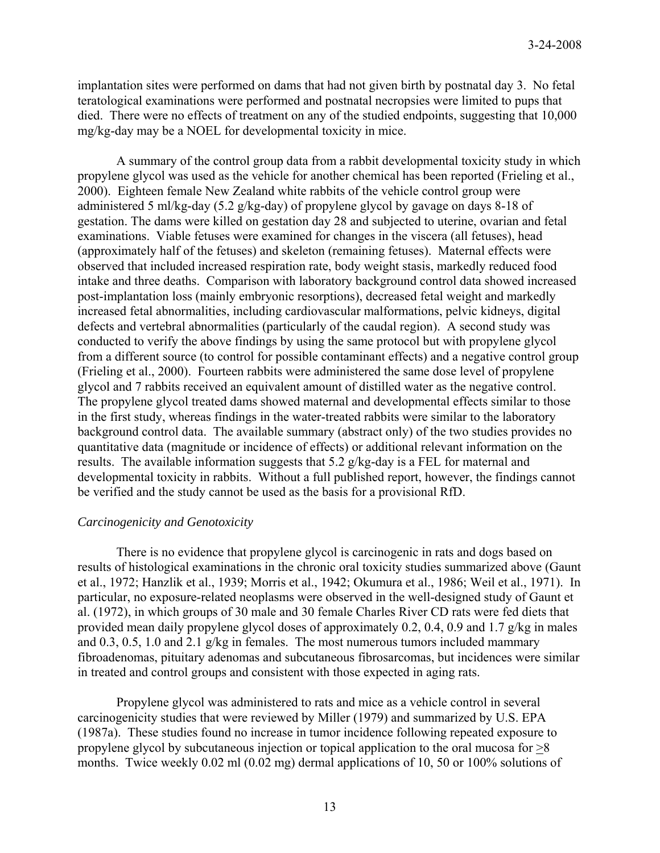implantation sites were performed on dams that had not given birth by postnatal day 3. No fetal teratological examinations were performed and postnatal necropsies were limited to pups that died. There were no effects of treatment on any of the studied endpoints, suggesting that 10,000 mg/kg-day may be a NOEL for developmental toxicity in mice.

A summary of the control group data from a rabbit developmental toxicity study in which propylene glycol was used as the vehicle for another chemical has been reported (Frieling et al., 2000). Eighteen female New Zealand white rabbits of the vehicle control group were administered 5 ml/kg-day (5.2 g/kg-day) of propylene glycol by gavage on days 8-18 of gestation. The dams were killed on gestation day 28 and subjected to uterine, ovarian and fetal examinations. Viable fetuses were examined for changes in the viscera (all fetuses), head (approximately half of the fetuses) and skeleton (remaining fetuses). Maternal effects were observed that included increased respiration rate, body weight stasis, markedly reduced food intake and three deaths. Comparison with laboratory background control data showed increased post-implantation loss (mainly embryonic resorptions), decreased fetal weight and markedly increased fetal abnormalities, including cardiovascular malformations, pelvic kidneys, digital defects and vertebral abnormalities (particularly of the caudal region). A second study was conducted to verify the above findings by using the same protocol but with propylene glycol from a different source (to control for possible contaminant effects) and a negative control group (Frieling et al., 2000). Fourteen rabbits were administered the same dose level of propylene glycol and 7 rabbits received an equivalent amount of distilled water as the negative control. The propylene glycol treated dams showed maternal and developmental effects similar to those in the first study, whereas findings in the water-treated rabbits were similar to the laboratory background control data. The available summary (abstract only) of the two studies provides no quantitative data (magnitude or incidence of effects) or additional relevant information on the results. The available information suggests that 5.2 g/kg-day is a FEL for maternal and developmental toxicity in rabbits. Without a full published report, however, the findings cannot be verified and the study cannot be used as the basis for a provisional RfD.

### *Carcinogenicity and Genotoxicity*

There is no evidence that propylene glycol is carcinogenic in rats and dogs based on results of histological examinations in the chronic oral toxicity studies summarized above (Gaunt et al., 1972; Hanzlik et al., 1939; Morris et al., 1942; Okumura et al., 1986; Weil et al., 1971). In particular, no exposure-related neoplasms were observed in the well-designed study of Gaunt et al. (1972), in which groups of 30 male and 30 female Charles River CD rats were fed diets that provided mean daily propylene glycol doses of approximately 0.2, 0.4, 0.9 and 1.7 g/kg in males and 0.3, 0.5, 1.0 and 2.1 g/kg in females. The most numerous tumors included mammary fibroadenomas, pituitary adenomas and subcutaneous fibrosarcomas, but incidences were similar in treated and control groups and consistent with those expected in aging rats.

Propylene glycol was administered to rats and mice as a vehicle control in several carcinogenicity studies that were reviewed by Miller (1979) and summarized by U.S. EPA (1987a). These studies found no increase in tumor incidence following repeated exposure to propylene glycol by subcutaneous injection or topical application to the oral mucosa for >8 months. Twice weekly 0.02 ml (0.02 mg) dermal applications of 10, 50 or 100% solutions of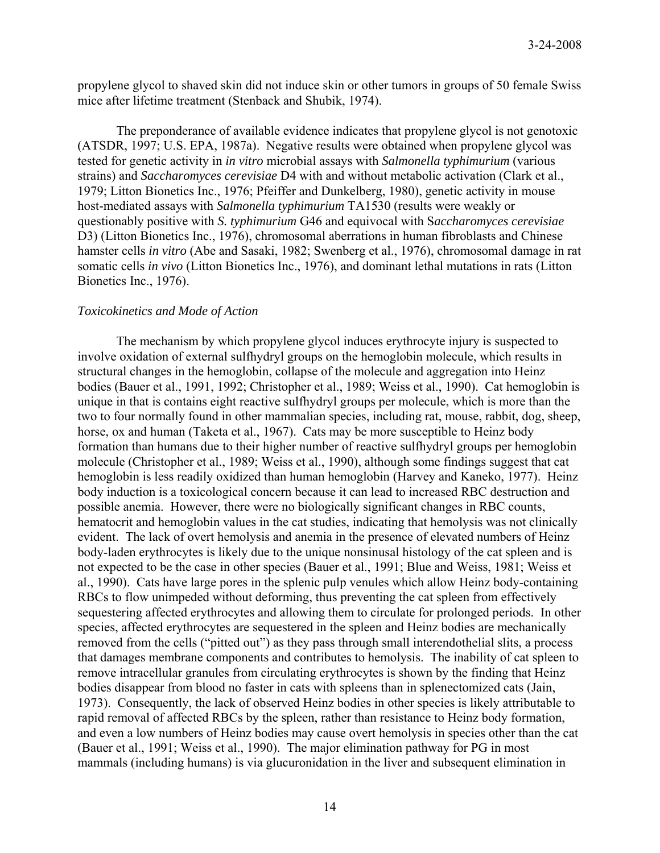propylene glycol to shaved skin did not induce skin or other tumors in groups of 50 female Swiss mice after lifetime treatment (Stenback and Shubik, 1974).

The preponderance of available evidence indicates that propylene glycol is not genotoxic (ATSDR, 1997; U.S. EPA, 1987a). Negative results were obtained when propylene glycol was tested for genetic activity in *in vitro* microbial assays with *Salmonella typhimurium* (various strains) and *Saccharomyces cerevisiae* D4 with and without metabolic activation (Clark et al., 1979; Litton Bionetics Inc., 1976; Pfeiffer and Dunkelberg, 1980), genetic activity in mouse host-mediated assays with *Salmonella typhimurium* TA1530 (results were weakly or questionably positive with *S. typhimurium* G46 and equivocal with S*accharomyces cerevisiae* D3) (Litton Bionetics Inc., 1976), chromosomal aberrations in human fibroblasts and Chinese hamster cells *in vitro* (Abe and Sasaki, 1982; Swenberg et al., 1976), chromosomal damage in rat somatic cells *in vivo* (Litton Bionetics Inc., 1976), and dominant lethal mutations in rats (Litton Bionetics Inc., 1976).

## *Toxicokinetics and Mode of Action*

 The mechanism by which propylene glycol induces erythrocyte injury is suspected to involve oxidation of external sulfhydryl groups on the hemoglobin molecule, which results in structural changes in the hemoglobin, collapse of the molecule and aggregation into Heinz bodies (Bauer et al., 1991, 1992; Christopher et al., 1989; Weiss et al., 1990). Cat hemoglobin is unique in that is contains eight reactive sulfhydryl groups per molecule, which is more than the two to four normally found in other mammalian species, including rat, mouse, rabbit, dog, sheep, horse, ox and human (Taketa et al., 1967). Cats may be more susceptible to Heinz body formation than humans due to their higher number of reactive sulfhydryl groups per hemoglobin molecule (Christopher et al., 1989; Weiss et al., 1990), although some findings suggest that cat hemoglobin is less readily oxidized than human hemoglobin (Harvey and Kaneko, 1977). Heinz body induction is a toxicological concern because it can lead to increased RBC destruction and possible anemia. However, there were no biologically significant changes in RBC counts, hematocrit and hemoglobin values in the cat studies, indicating that hemolysis was not clinically evident. The lack of overt hemolysis and anemia in the presence of elevated numbers of Heinz body-laden erythrocytes is likely due to the unique nonsinusal histology of the cat spleen and is not expected to be the case in other species (Bauer et al., 1991; Blue and Weiss, 1981; Weiss et al., 1990). Cats have large pores in the splenic pulp venules which allow Heinz body-containing RBCs to flow unimpeded without deforming, thus preventing the cat spleen from effectively sequestering affected erythrocytes and allowing them to circulate for prolonged periods. In other species, affected erythrocytes are sequestered in the spleen and Heinz bodies are mechanically removed from the cells ("pitted out") as they pass through small interendothelial slits, a process that damages membrane components and contributes to hemolysis. The inability of cat spleen to remove intracellular granules from circulating erythrocytes is shown by the finding that Heinz bodies disappear from blood no faster in cats with spleens than in splenectomized cats (Jain, 1973). Consequently, the lack of observed Heinz bodies in other species is likely attributable to rapid removal of affected RBCs by the spleen, rather than resistance to Heinz body formation, and even a low numbers of Heinz bodies may cause overt hemolysis in species other than the cat (Bauer et al., 1991; Weiss et al., 1990). The major elimination pathway for PG in most mammals (including humans) is via glucuronidation in the liver and subsequent elimination in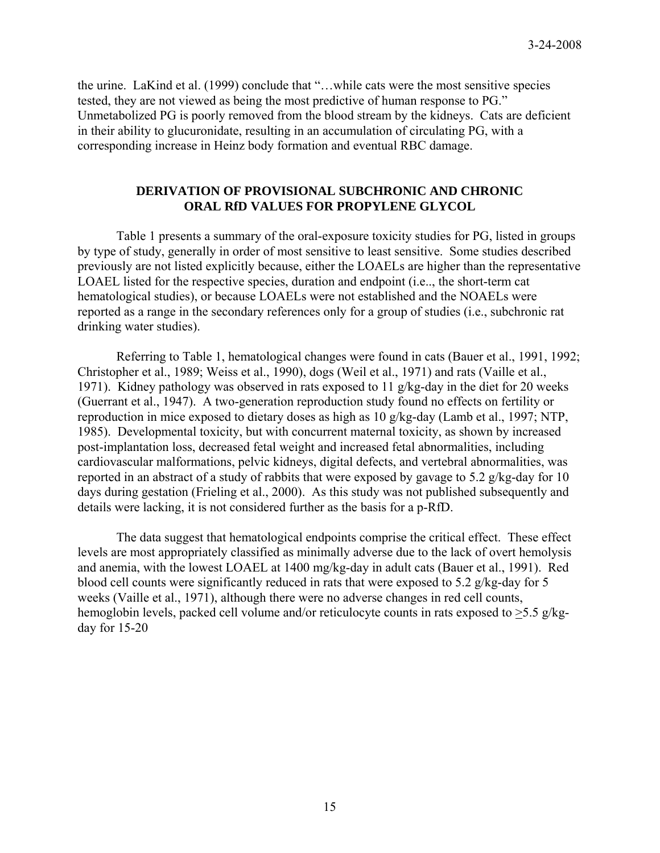the urine. LaKind et al. (1999) conclude that "…while cats were the most sensitive species tested, they are not viewed as being the most predictive of human response to PG." Unmetabolized PG is poorly removed from the blood stream by the kidneys. Cats are deficient in their ability to glucuronidate, resulting in an accumulation of circulating PG, with a corresponding increase in Heinz body formation and eventual RBC damage.

## **DERIVATION OF PROVISIONAL SUBCHRONIC AND CHRONIC ORAL RfD VALUES FOR PROPYLENE GLYCOL**

 Table 1 presents a summary of the oral-exposure toxicity studies for PG, listed in groups by type of study, generally in order of most sensitive to least sensitive. Some studies described previously are not listed explicitly because, either the LOAELs are higher than the representative LOAEL listed for the respective species, duration and endpoint (i.e.., the short-term cat hematological studies), or because LOAELs were not established and the NOAELs were reported as a range in the secondary references only for a group of studies (i.e., subchronic rat drinking water studies).

 Referring to Table 1, hematological changes were found in cats (Bauer et al., 1991, 1992; Christopher et al., 1989; Weiss et al., 1990), dogs (Weil et al., 1971) and rats (Vaille et al., 1971). Kidney pathology was observed in rats exposed to 11 g/kg-day in the diet for 20 weeks (Guerrant et al., 1947). A two-generation reproduction study found no effects on fertility or reproduction in mice exposed to dietary doses as high as 10 g/kg-day (Lamb et al., 1997; NTP, 1985). Developmental toxicity, but with concurrent maternal toxicity, as shown by increased post-implantation loss, decreased fetal weight and increased fetal abnormalities, including cardiovascular malformations, pelvic kidneys, digital defects, and vertebral abnormalities, was reported in an abstract of a study of rabbits that were exposed by gavage to 5.2 g/kg-day for 10 days during gestation (Frieling et al., 2000). As this study was not published subsequently and details were lacking, it is not considered further as the basis for a p-RfD.

 The data suggest that hematological endpoints comprise the critical effect. These effect levels are most appropriately classified as minimally adverse due to the lack of overt hemolysis and anemia, with the lowest LOAEL at 1400 mg/kg-day in adult cats (Bauer et al., 1991). Red blood cell counts were significantly reduced in rats that were exposed to 5.2 g/kg-day for 5 weeks (Vaille et al., 1971), although there were no adverse changes in red cell counts, hemoglobin levels, packed cell volume and/or reticulocyte counts in rats exposed to >5.5 g/kgday for 15-20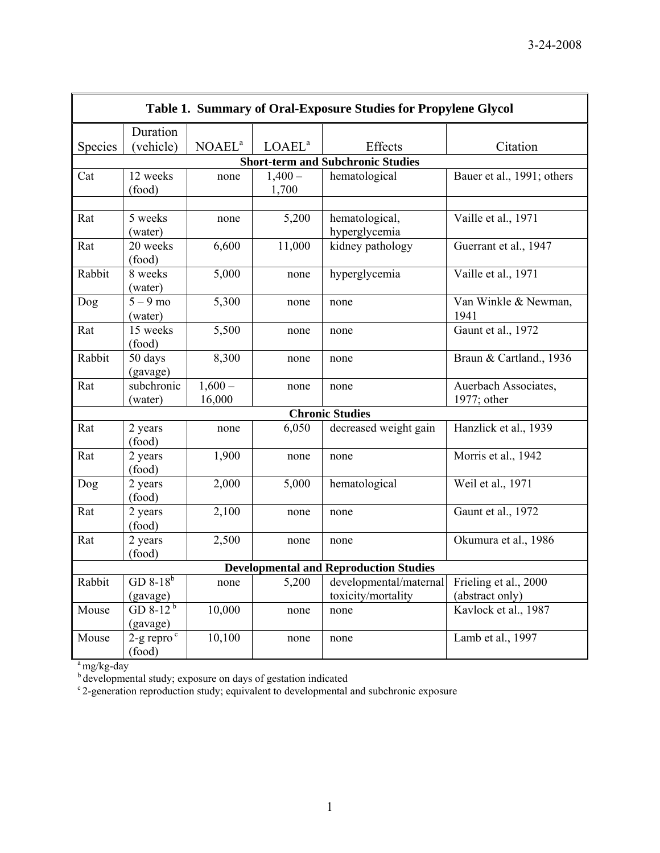| Table 1. Summary of Oral-Exposure Studies for Propylene Glycol |                                                                                                                                                                                                                                                                                               |                                                                                                              |                                                                                                   |                                                                                                                                                                                                                                                                                            |  |  |  |
|----------------------------------------------------------------|-----------------------------------------------------------------------------------------------------------------------------------------------------------------------------------------------------------------------------------------------------------------------------------------------|--------------------------------------------------------------------------------------------------------------|---------------------------------------------------------------------------------------------------|--------------------------------------------------------------------------------------------------------------------------------------------------------------------------------------------------------------------------------------------------------------------------------------------|--|--|--|
| Duration                                                       |                                                                                                                                                                                                                                                                                               |                                                                                                              |                                                                                                   |                                                                                                                                                                                                                                                                                            |  |  |  |
| (vehicle)                                                      | NOAEL <sup>a</sup>                                                                                                                                                                                                                                                                            | LOAEL <sup>a</sup>                                                                                           | Effects                                                                                           | Citation                                                                                                                                                                                                                                                                                   |  |  |  |
| <b>Species</b>                                                 |                                                                                                                                                                                                                                                                                               |                                                                                                              |                                                                                                   |                                                                                                                                                                                                                                                                                            |  |  |  |
| 12 weeks                                                       | none                                                                                                                                                                                                                                                                                          | $1,400-$                                                                                                     | hematological                                                                                     | Bauer et al., 1991; others                                                                                                                                                                                                                                                                 |  |  |  |
| (food)                                                         |                                                                                                                                                                                                                                                                                               | 1,700                                                                                                        |                                                                                                   |                                                                                                                                                                                                                                                                                            |  |  |  |
|                                                                |                                                                                                                                                                                                                                                                                               |                                                                                                              |                                                                                                   |                                                                                                                                                                                                                                                                                            |  |  |  |
|                                                                | none                                                                                                                                                                                                                                                                                          |                                                                                                              |                                                                                                   | Vaille et al., 1971                                                                                                                                                                                                                                                                        |  |  |  |
|                                                                |                                                                                                                                                                                                                                                                                               |                                                                                                              |                                                                                                   |                                                                                                                                                                                                                                                                                            |  |  |  |
|                                                                |                                                                                                                                                                                                                                                                                               |                                                                                                              |                                                                                                   | Guerrant et al., 1947                                                                                                                                                                                                                                                                      |  |  |  |
|                                                                |                                                                                                                                                                                                                                                                                               |                                                                                                              |                                                                                                   |                                                                                                                                                                                                                                                                                            |  |  |  |
|                                                                |                                                                                                                                                                                                                                                                                               |                                                                                                              |                                                                                                   | Vaille et al., 1971                                                                                                                                                                                                                                                                        |  |  |  |
|                                                                |                                                                                                                                                                                                                                                                                               |                                                                                                              |                                                                                                   |                                                                                                                                                                                                                                                                                            |  |  |  |
|                                                                |                                                                                                                                                                                                                                                                                               |                                                                                                              |                                                                                                   | Van Winkle & Newman,<br>1941                                                                                                                                                                                                                                                               |  |  |  |
|                                                                |                                                                                                                                                                                                                                                                                               |                                                                                                              |                                                                                                   |                                                                                                                                                                                                                                                                                            |  |  |  |
|                                                                |                                                                                                                                                                                                                                                                                               |                                                                                                              |                                                                                                   | Gaunt et al., 1972                                                                                                                                                                                                                                                                         |  |  |  |
|                                                                |                                                                                                                                                                                                                                                                                               |                                                                                                              |                                                                                                   | Braun & Cartland., 1936                                                                                                                                                                                                                                                                    |  |  |  |
|                                                                |                                                                                                                                                                                                                                                                                               |                                                                                                              |                                                                                                   |                                                                                                                                                                                                                                                                                            |  |  |  |
|                                                                |                                                                                                                                                                                                                                                                                               |                                                                                                              |                                                                                                   | Auerbach Associates,                                                                                                                                                                                                                                                                       |  |  |  |
|                                                                | 16,000                                                                                                                                                                                                                                                                                        |                                                                                                              |                                                                                                   | 1977; other                                                                                                                                                                                                                                                                                |  |  |  |
| <b>Chronic Studies</b>                                         |                                                                                                                                                                                                                                                                                               |                                                                                                              |                                                                                                   |                                                                                                                                                                                                                                                                                            |  |  |  |
| 2 years                                                        | none                                                                                                                                                                                                                                                                                          | 6,050                                                                                                        | decreased weight gain                                                                             | Hanzlick et al., 1939                                                                                                                                                                                                                                                                      |  |  |  |
| (food)                                                         |                                                                                                                                                                                                                                                                                               |                                                                                                              |                                                                                                   |                                                                                                                                                                                                                                                                                            |  |  |  |
| 2 years                                                        | 1,900                                                                                                                                                                                                                                                                                         | none                                                                                                         | none                                                                                              | Morris et al., 1942                                                                                                                                                                                                                                                                        |  |  |  |
| (food)                                                         |                                                                                                                                                                                                                                                                                               |                                                                                                              |                                                                                                   |                                                                                                                                                                                                                                                                                            |  |  |  |
| 2 years                                                        |                                                                                                                                                                                                                                                                                               |                                                                                                              |                                                                                                   | Weil et al., 1971                                                                                                                                                                                                                                                                          |  |  |  |
|                                                                |                                                                                                                                                                                                                                                                                               |                                                                                                              |                                                                                                   |                                                                                                                                                                                                                                                                                            |  |  |  |
|                                                                |                                                                                                                                                                                                                                                                                               | none                                                                                                         | none                                                                                              | Gaunt et al., 1972                                                                                                                                                                                                                                                                         |  |  |  |
|                                                                |                                                                                                                                                                                                                                                                                               |                                                                                                              |                                                                                                   |                                                                                                                                                                                                                                                                                            |  |  |  |
|                                                                |                                                                                                                                                                                                                                                                                               |                                                                                                              |                                                                                                   | Okumura et al., 1986                                                                                                                                                                                                                                                                       |  |  |  |
| (food)                                                         |                                                                                                                                                                                                                                                                                               |                                                                                                              |                                                                                                   |                                                                                                                                                                                                                                                                                            |  |  |  |
|                                                                |                                                                                                                                                                                                                                                                                               |                                                                                                              |                                                                                                   |                                                                                                                                                                                                                                                                                            |  |  |  |
|                                                                |                                                                                                                                                                                                                                                                                               |                                                                                                              |                                                                                                   | Frieling et al., 2000<br>(abstract only)                                                                                                                                                                                                                                                   |  |  |  |
|                                                                |                                                                                                                                                                                                                                                                                               |                                                                                                              |                                                                                                   | Kavlock et al., 1987                                                                                                                                                                                                                                                                       |  |  |  |
|                                                                |                                                                                                                                                                                                                                                                                               |                                                                                                              |                                                                                                   |                                                                                                                                                                                                                                                                                            |  |  |  |
|                                                                |                                                                                                                                                                                                                                                                                               |                                                                                                              |                                                                                                   | Lamb et al., 1997                                                                                                                                                                                                                                                                          |  |  |  |
| (food)                                                         |                                                                                                                                                                                                                                                                                               |                                                                                                              |                                                                                                   |                                                                                                                                                                                                                                                                                            |  |  |  |
|                                                                | 5 weeks<br>(water)<br>20 weeks<br>(food)<br>8 weeks<br>(water)<br>$5 - 9$ mo<br>(water)<br>15 weeks<br>(food)<br>50 days<br>(gavage)<br>subchronic<br>(water)<br>(food)<br>2 years<br>(food)<br>2 years<br>GD $8-18^b$<br>(gavage)<br>GD 8-12 $^{\rm b}$<br>(gavage)<br>$2-g$ repro $\degree$ | 6,600<br>5,000<br>5,300<br>5,500<br>8,300<br>$1,600-$<br>2,000<br>2,100<br>2,500<br>none<br>10,000<br>10,100 | 5,200<br>11,000<br>none<br>none<br>none<br>none<br>none<br>5,000<br>none<br>5,200<br>none<br>none | <b>Short-term and Subchronic Studies</b><br>hematological,<br>hyperglycemia<br>kidney pathology<br>hyperglycemia<br>none<br>none<br>none<br>none<br>hematological<br>none<br><b>Developmental and Reproduction Studies</b><br>developmental/maternal<br>toxicity/mortality<br>none<br>none |  |  |  |

 $a$ <sup>a</sup> mg/kg-day

<sup>b</sup> developmental study; exposure on days of gestation indicated

<sup>c</sup> 2-generation reproduction study; equivalent to developmental and subchronic exposure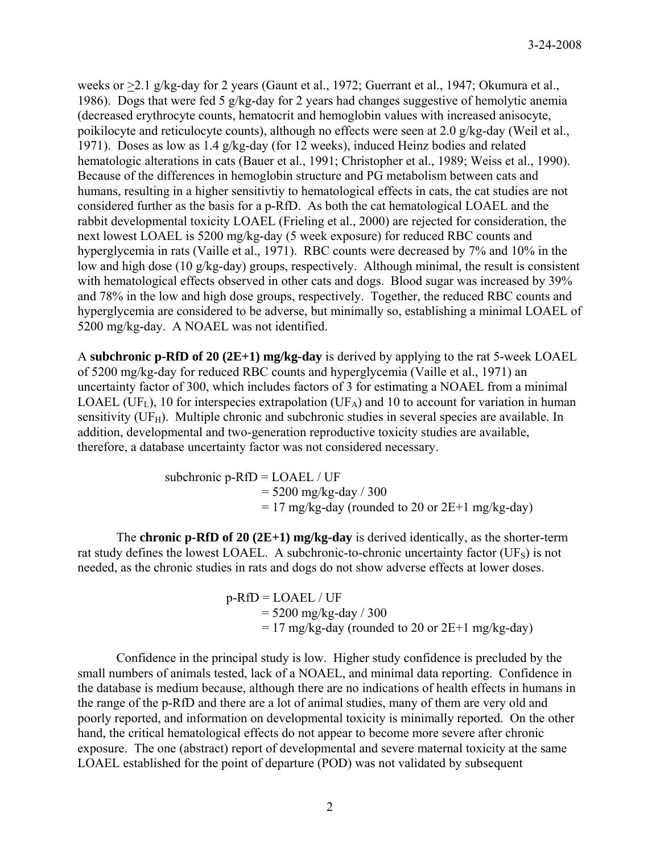weeks or  $\geq$ 2.1 g/kg-day for 2 years (Gaunt et al., 1972; Guerrant et al., 1947; Okumura et al., 1986). Dogs that were fed 5 g/kg-day for 2 years had changes suggestive of hemolytic anemia (decreased erythrocyte counts, hematocrit and hemoglobin values with increased anisocyte, poikilocyte and reticulocyte counts), although no effects were seen at 2.0 g/kg-day (Weil et al., 1971). Doses as low as 1.4 g/kg-day (for 12 weeks), induced Heinz bodies and related hematologic alterations in cats (Bauer et al., 1991; Christopher et al., 1989; Weiss et al., 1990). Because of the differences in hemoglobin structure and PG metabolism between cats and humans, resulting in a higher sensitivtiy to hematological effects in cats, the cat studies are not considered further as the basis for a p-RfD. As both the cat hematological LOAEL and the rabbit developmental toxicity LOAEL (Frieling et al., 2000) are rejected for consideration, the next lowest LOAEL is 5200 mg/kg-day (5 week exposure) for reduced RBC counts and hyperglycemia in rats (Vaille et al., 1971). RBC counts were decreased by 7% and 10% in the low and high dose (10 g/kg-day) groups, respectively. Although minimal, the result is consistent with hematological effects observed in other cats and dogs. Blood sugar was increased by 39% and 78% in the low and high dose groups, respectively. Together, the reduced RBC counts and hyperglycemia are considered to be adverse, but minimally so, establishing a minimal LOAEL of 5200 mg/kg-day. A NOAEL was not identified.

A **subchronic p-RfD of 20 (2E+1) mg/kg-day** is derived by applying to the rat 5-week LOAEL of 5200 mg/kg-day for reduced RBC counts and hyperglycemia (Vaille et al., 1971) an uncertainty factor of 300, which includes factors of 3 for estimating a NOAEL from a minimal LOAEL (UF<sub>L</sub>), 10 for interspecies extrapolation (UF<sub>A</sub>) and 10 to account for variation in human sensitivity ( $UF_H$ ). Multiple chronic and subchronic studies in several species are available. In addition, developmental and two-generation reproductive toxicity studies are available, therefore, a database uncertainty factor was not considered necessary.

> subchronic  $p-RfD = LOAEL / UF$  $= 5200$  mg/kg-day / 300  $= 17$  mg/kg-day (rounded to 20 or 2E+1 mg/kg-day)

 The **chronic p-RfD of 20 (2E+1) mg/kg-day** is derived identically, as the shorter-term rat study defines the lowest LOAEL. A subchronic-to-chronic uncertainty factor (UFs) is not needed, as the chronic studies in rats and dogs do not show adverse effects at lower doses.

> $p-RfD = LOAEL / UF$  $= 5200$  mg/kg-day / 300  $= 17$  mg/kg-day (rounded to 20 or 2E+1 mg/kg-day)

 Confidence in the principal study is low. Higher study confidence is precluded by the small numbers of animals tested, lack of a NOAEL, and minimal data reporting. Confidence in the database is medium because, although there are no indications of health effects in humans in the range of the p-RfD and there are a lot of animal studies, many of them are very old and poorly reported, and information on developmental toxicity is minimally reported. On the other hand, the critical hematological effects do not appear to become more severe after chronic exposure. The one (abstract) report of developmental and severe maternal toxicity at the same LOAEL established for the point of departure (POD) was not validated by subsequent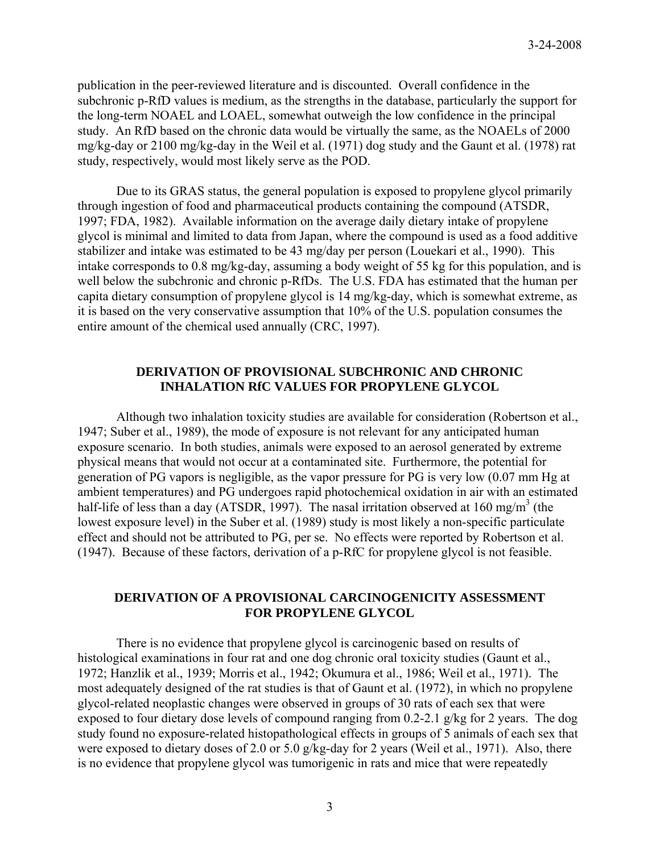publication in the peer-reviewed literature and is discounted. Overall confidence in the subchronic p-RfD values is medium, as the strengths in the database, particularly the support for the long-term NOAEL and LOAEL, somewhat outweigh the low confidence in the principal study. An RfD based on the chronic data would be virtually the same, as the NOAELs of 2000 mg/kg-day or 2100 mg/kg-day in the Weil et al. (1971) dog study and the Gaunt et al. (1978) rat study, respectively, would most likely serve as the POD.

 Due to its GRAS status, the general population is exposed to propylene glycol primarily through ingestion of food and pharmaceutical products containing the compound (ATSDR, 1997; FDA, 1982). Available information on the average daily dietary intake of propylene glycol is minimal and limited to data from Japan, where the compound is used as a food additive stabilizer and intake was estimated to be 43 mg/day per person (Louekari et al., 1990). This intake corresponds to 0.8 mg/kg-day, assuming a body weight of 55 kg for this population, and is well below the subchronic and chronic p-RfDs. The U.S. FDA has estimated that the human per capita dietary consumption of propylene glycol is 14 mg/kg-day, which is somewhat extreme, as it is based on the very conservative assumption that 10% of the U.S. population consumes the entire amount of the chemical used annually (CRC, 1997).

## **DERIVATION OF PROVISIONAL SUBCHRONIC AND CHRONIC INHALATION RfC VALUES FOR PROPYLENE GLYCOL**

Although two inhalation toxicity studies are available for consideration (Robertson et al., 1947; Suber et al., 1989), the mode of exposure is not relevant for any anticipated human exposure scenario. In both studies, animals were exposed to an aerosol generated by extreme physical means that would not occur at a contaminated site. Furthermore, the potential for generation of PG vapors is negligible, as the vapor pressure for PG is very low (0.07 mm Hg at ambient temperatures) and PG undergoes rapid photochemical oxidation in air with an estimated half-life of less than a day (ATSDR, 1997). The nasal irritation observed at 160 mg/m<sup>3</sup> (the lowest exposure level) in the Suber et al. (1989) study is most likely a non-specific particulate effect and should not be attributed to PG, per se. No effects were reported by Robertson et al. (1947). Because of these factors, derivation of a p-RfC for propylene glycol is not feasible.

## **DERIVATION OF A PROVISIONAL CARCINOGENICITY ASSESSMENT FOR PROPYLENE GLYCOL**

There is no evidence that propylene glycol is carcinogenic based on results of histological examinations in four rat and one dog chronic oral toxicity studies (Gaunt et al., 1972; Hanzlik et al., 1939; Morris et al., 1942; Okumura et al., 1986; Weil et al., 1971). The most adequately designed of the rat studies is that of Gaunt et al. (1972), in which no propylene glycol-related neoplastic changes were observed in groups of 30 rats of each sex that were exposed to four dietary dose levels of compound ranging from 0.2-2.1 g/kg for 2 years. The dog study found no exposure-related histopathological effects in groups of 5 animals of each sex that were exposed to dietary doses of 2.0 or 5.0 g/kg-day for 2 years (Weil et al., 1971). Also, there is no evidence that propylene glycol was tumorigenic in rats and mice that were repeatedly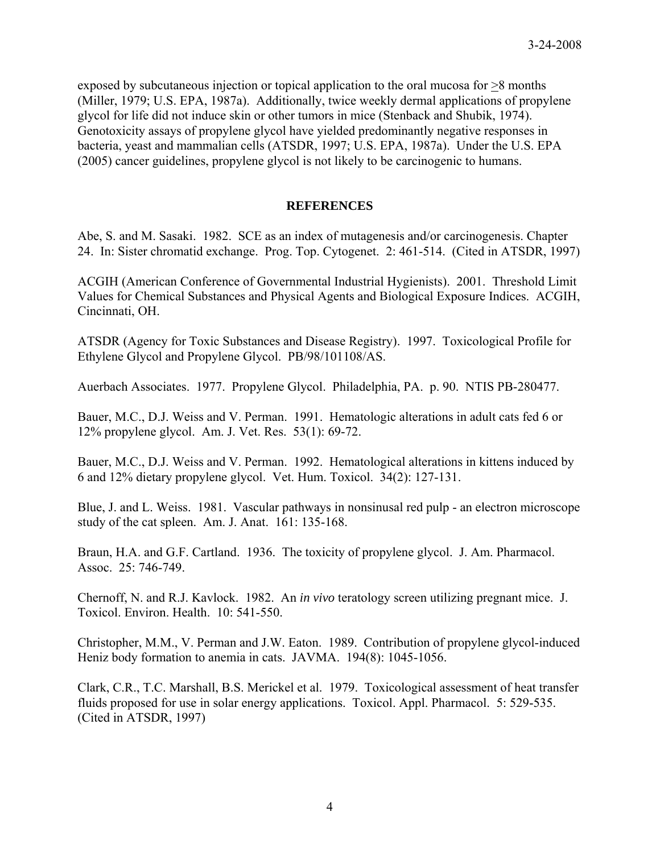exposed by subcutaneous injection or topical application to the oral mucosa for  $\geq 8$  months (Miller, 1979; U.S. EPA, 1987a). Additionally, twice weekly dermal applications of propylene glycol for life did not induce skin or other tumors in mice (Stenback and Shubik, 1974). Genotoxicity assays of propylene glycol have yielded predominantly negative responses in bacteria, yeast and mammalian cells (ATSDR, 1997; U.S. EPA, 1987a). Under the U.S. EPA (2005) cancer guidelines, propylene glycol is not likely to be carcinogenic to humans.

## **REFERENCES**

Abe, S. and M. Sasaki. 1982. SCE as an index of mutagenesis and/or carcinogenesis. Chapter 24. In: Sister chromatid exchange. Prog. Top. Cytogenet. 2: 461-514. (Cited in ATSDR, 1997)

ACGIH (American Conference of Governmental Industrial Hygienists). 2001. Threshold Limit Values for Chemical Substances and Physical Agents and Biological Exposure Indices. ACGIH, Cincinnati, OH.

ATSDR (Agency for Toxic Substances and Disease Registry). 1997. Toxicological Profile for Ethylene Glycol and Propylene Glycol. PB/98/101108/AS.

Auerbach Associates. 1977. Propylene Glycol. Philadelphia, PA. p. 90. NTIS PB-280477.

Bauer, M.C., D.J. Weiss and V. Perman. 1991. Hematologic alterations in adult cats fed 6 or 12% propylene glycol. Am. J. Vet. Res. 53(1): 69-72.

Bauer, M.C., D.J. Weiss and V. Perman. 1992. Hematological alterations in kittens induced by 6 and 12% dietary propylene glycol. Vet. Hum. Toxicol. 34(2): 127-131.

Blue, J. and L. Weiss. 1981. Vascular pathways in nonsinusal red pulp - an electron microscope study of the cat spleen. Am. J. Anat. 161: 135-168.

Braun, H.A. and G.F. Cartland. 1936. The toxicity of propylene glycol. J. Am. Pharmacol. Assoc. 25: 746-749.

Chernoff, N. and R.J. Kavlock. 1982. An *in vivo* teratology screen utilizing pregnant mice. J. Toxicol. Environ. Health. 10: 541-550.

Christopher, M.M., V. Perman and J.W. Eaton. 1989. Contribution of propylene glycol-induced Heniz body formation to anemia in cats. JAVMA. 194(8): 1045-1056.

Clark, C.R., T.C. Marshall, B.S. Merickel et al. 1979. Toxicological assessment of heat transfer fluids proposed for use in solar energy applications. Toxicol. Appl. Pharmacol. 5: 529-535. (Cited in ATSDR, 1997)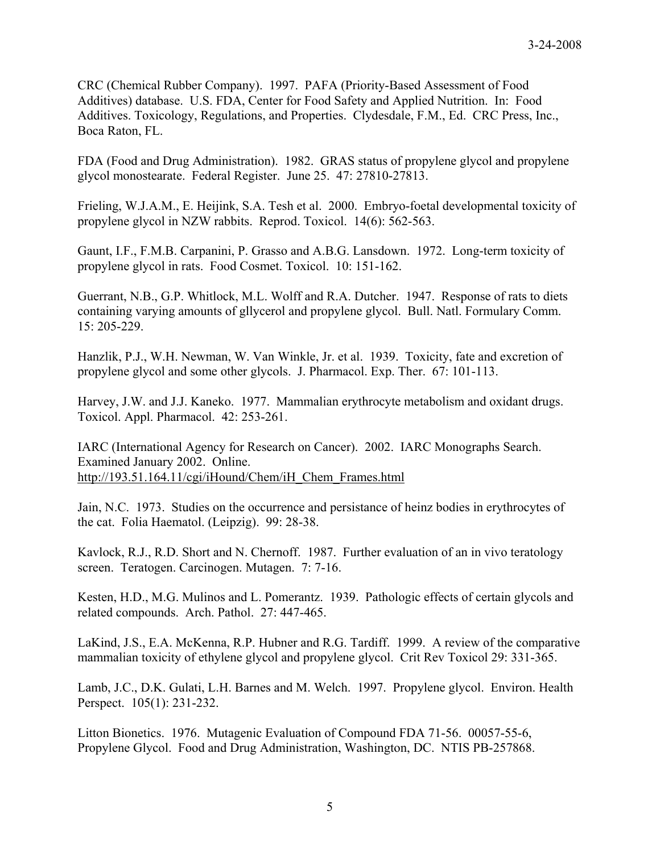CRC (Chemical Rubber Company). 1997. PAFA (Priority-Based Assessment of Food Additives) database. U.S. FDA, Center for Food Safety and Applied Nutrition. In: Food Additives. Toxicology, Regulations, and Properties. Clydesdale, F.M., Ed. CRC Press, Inc., Boca Raton, FL.

FDA (Food and Drug Administration). 1982. GRAS status of propylene glycol and propylene glycol monostearate. Federal Register. June 25. 47: 27810-27813.

Frieling, W.J.A.M., E. Heijink, S.A. Tesh et al. 2000. Embryo-foetal developmental toxicity of propylene glycol in NZW rabbits. Reprod. Toxicol. 14(6): 562-563.

Gaunt, I.F., F.M.B. Carpanini, P. Grasso and A.B.G. Lansdown. 1972. Long-term toxicity of propylene glycol in rats. Food Cosmet. Toxicol. 10: 151-162.

Guerrant, N.B., G.P. Whitlock, M.L. Wolff and R.A. Dutcher. 1947. Response of rats to diets containing varying amounts of gllycerol and propylene glycol. Bull. Natl. Formulary Comm. 15: 205-229.

Hanzlik, P.J., W.H. Newman, W. Van Winkle, Jr. et al. 1939. Toxicity, fate and excretion of propylene glycol and some other glycols. J. Pharmacol. Exp. Ther. 67: 101-113.

Harvey, J.W. and J.J. Kaneko. 1977. Mammalian erythrocyte metabolism and oxidant drugs. Toxicol. Appl. Pharmacol. 42: 253-261.

IARC (International Agency for Research on Cancer). 2002. IARC Monographs Search. Examined January 2002. Online. http://193.51.164.11/cgi/iHound/Chem/iH\_Chem\_Frames.html

Jain, N.C. 1973. Studies on the occurrence and persistance of heinz bodies in erythrocytes of the cat. Folia Haematol. (Leipzig). 99: 28-38.

Kavlock, R.J., R.D. Short and N. Chernoff. 1987. Further evaluation of an in vivo teratology screen. Teratogen. Carcinogen. Mutagen. 7: 7-16.

Kesten, H.D., M.G. Mulinos and L. Pomerantz. 1939. Pathologic effects of certain glycols and related compounds. Arch. Pathol. 27: 447-465.

LaKind, J.S., E.A. McKenna, R.P. Hubner and R.G. Tardiff. 1999. A review of the comparative mammalian toxicity of ethylene glycol and propylene glycol. Crit Rev Toxicol 29: 331-365.

Lamb, J.C., D.K. Gulati, L.H. Barnes and M. Welch. 1997. Propylene glycol. Environ. Health Perspect. 105(1): 231-232.

Litton Bionetics. 1976. Mutagenic Evaluation of Compound FDA 71-56. 00057-55-6, Propylene Glycol. Food and Drug Administration, Washington, DC. NTIS PB-257868.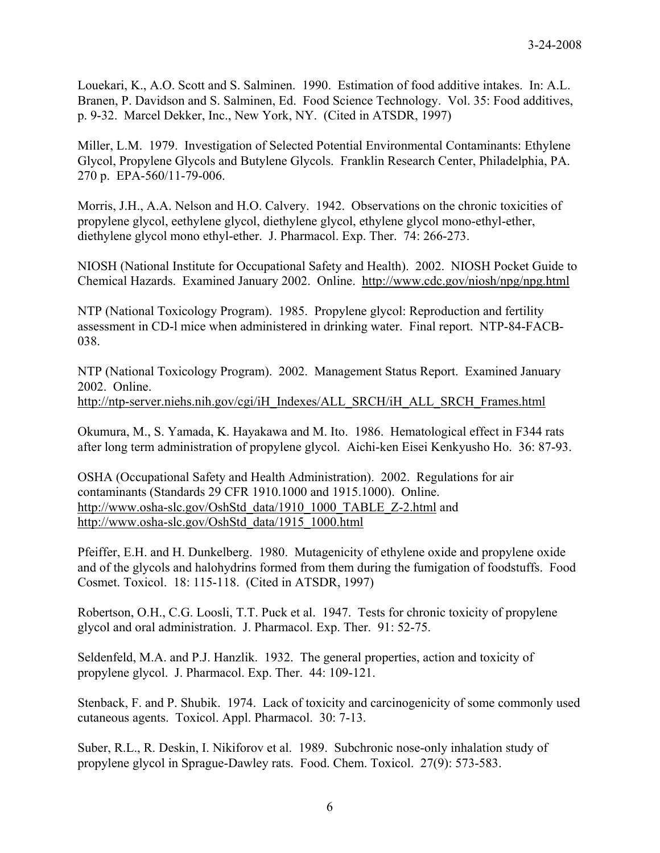Louekari, K., A.O. Scott and S. Salminen. 1990. Estimation of food additive intakes. In: A.L. Branen, P. Davidson and S. Salminen, Ed. Food Science Technology. Vol. 35: Food additives, p. 9-32. Marcel Dekker, Inc., New York, NY. (Cited in ATSDR, 1997)

Miller, L.M. 1979. Investigation of Selected Potential Environmental Contaminants: Ethylene Glycol, Propylene Glycols and Butylene Glycols. Franklin Research Center, Philadelphia, PA. 270 p. EPA-560/11-79-006.

Morris, J.H., A.A. Nelson and H.O. Calvery. 1942. Observations on the chronic toxicities of propylene glycol, eethylene glycol, diethylene glycol, ethylene glycol mono-ethyl-ether, diethylene glycol mono ethyl-ether. J. Pharmacol. Exp. Ther. 74: 266-273.

NIOSH (National Institute for Occupational Safety and Health). 2002. NIOSH Pocket Guide to Chemical Hazards. Examined January 2002. Online. <http://www.cdc.gov/niosh/npg/npg.html>

NTP (National Toxicology Program). 1985. Propylene glycol: Reproduction and fertility assessment in CD-l mice when administered in drinking water. Final report. NTP-84-FACB-038.

NTP (National Toxicology Program). 2002. Management Status Report. Examined January 2002. Online. http://ntp-server.niehs.nih.gov/cgi/iH\_Indexes/ALL\_SRCH/iH\_ALL\_SRCH\_Frames.html

Okumura, M., S. Yamada, K. Hayakawa and M. Ito. 1986. Hematological effect in F344 rats after long term administration of propylene glycol. Aichi-ken Eisei Kenkyusho Ho. 36: 87-93.

OSHA (Occupational Safety and Health Administration). 2002. Regulations for air contaminants (Standards 29 CFR 1910.1000 and 1915.1000). Online. http://www.osha-slc.gov/OshStd\_data/1910\_1000\_TABLE\_Z-2.html and http://www.osha-slc.gov/OshStd\_data/1915\_1000.html

Pfeiffer, E.H. and H. Dunkelberg. 1980. Mutagenicity of ethylene oxide and propylene oxide and of the glycols and halohydrins formed from them during the fumigation of foodstuffs. Food Cosmet. Toxicol. 18: 115-118. (Cited in ATSDR, 1997)

Robertson, O.H., C.G. Loosli, T.T. Puck et al. 1947. Tests for chronic toxicity of propylene glycol and oral administration. J. Pharmacol. Exp. Ther. 91: 52-75.

Seldenfeld, M.A. and P.J. Hanzlik. 1932. The general properties, action and toxicity of propylene glycol. J. Pharmacol. Exp. Ther. 44: 109-121.

Stenback, F. and P. Shubik. 1974. Lack of toxicity and carcinogenicity of some commonly used cutaneous agents. Toxicol. Appl. Pharmacol. 30: 7-13.

Suber, R.L., R. Deskin, I. Nikiforov et al. 1989. Subchronic nose-only inhalation study of propylene glycol in Sprague-Dawley rats. Food. Chem. Toxicol. 27(9): 573-583.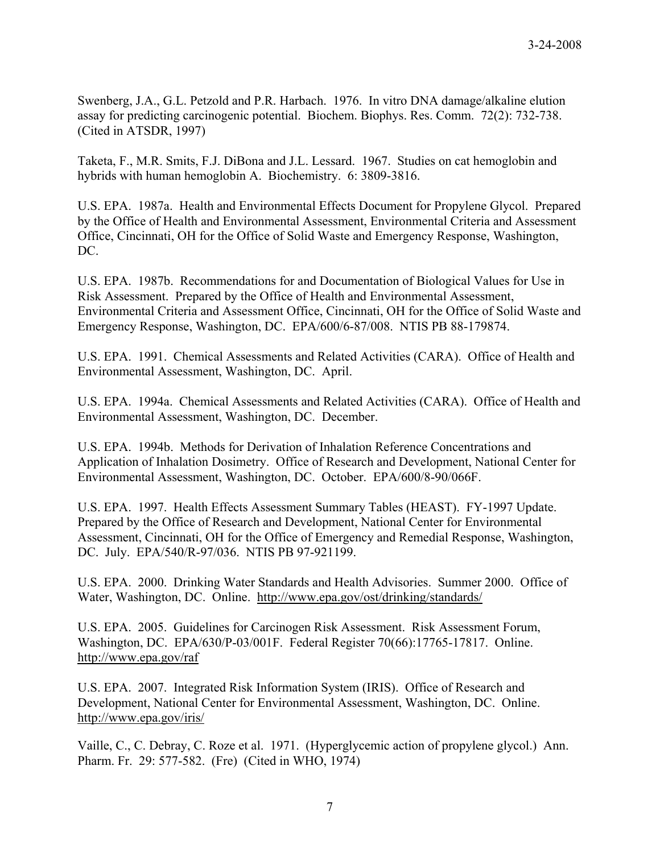Swenberg, J.A., G.L. Petzold and P.R. Harbach. 1976. In vitro DNA damage/alkaline elution assay for predicting carcinogenic potential. Biochem. Biophys. Res. Comm. 72(2): 732-738. (Cited in ATSDR, 1997)

Taketa, F., M.R. Smits, F.J. DiBona and J.L. Lessard. 1967. Studies on cat hemoglobin and hybrids with human hemoglobin A. Biochemistry. 6: 3809-3816.

U.S. EPA. 1987a. Health and Environmental Effects Document for Propylene Glycol. Prepared by the Office of Health and Environmental Assessment, Environmental Criteria and Assessment Office, Cincinnati, OH for the Office of Solid Waste and Emergency Response, Washington, DC.

U.S. EPA. 1987b. Recommendations for and Documentation of Biological Values for Use in Risk Assessment. Prepared by the Office of Health and Environmental Assessment, Environmental Criteria and Assessment Office, Cincinnati, OH for the Office of Solid Waste and Emergency Response, Washington, DC. EPA/600/6-87/008. NTIS PB 88-179874.

U.S. EPA. 1991. Chemical Assessments and Related Activities (CARA). Office of Health and Environmental Assessment, Washington, DC. April.

U.S. EPA. 1994a. Chemical Assessments and Related Activities (CARA). Office of Health and Environmental Assessment, Washington, DC. December.

U.S. EPA. 1994b. Methods for Derivation of Inhalation Reference Concentrations and Application of Inhalation Dosimetry. Office of Research and Development, National Center for Environmental Assessment, Washington, DC. October. EPA/600/8-90/066F.

U.S. EPA. 1997. Health Effects Assessment Summary Tables (HEAST). FY-1997 Update. Prepared by the Office of Research and Development, National Center for Environmental Assessment, Cincinnati, OH for the Office of Emergency and Remedial Response, Washington, DC. July. EPA/540/R-97/036. NTIS PB 97-921199.

U.S. EPA. 2000. Drinking Water Standards and Health Advisories. Summer 2000. Office of Water, Washington, DC. Online. http://www.epa.gov/ost/drinking/standards/

U.S. EPA. 2005. Guidelines for Carcinogen Risk Assessment. Risk Assessment Forum, Washington, DC. EPA/630/P-03/001F. Federal Register 70(66):17765-17817. Online. http://www.epa.gov/raf

U.S. EPA. 2007. Integrated Risk Information System (IRIS). Office of Research and Development, National Center for Environmental Assessment, Washington, DC. Online. <http://www.epa.gov/iris/>

Vaille, C., C. Debray, C. Roze et al. 1971. (Hyperglycemic action of propylene glycol.) Ann. Pharm. Fr. 29: 577-582. (Fre) (Cited in WHO, 1974)